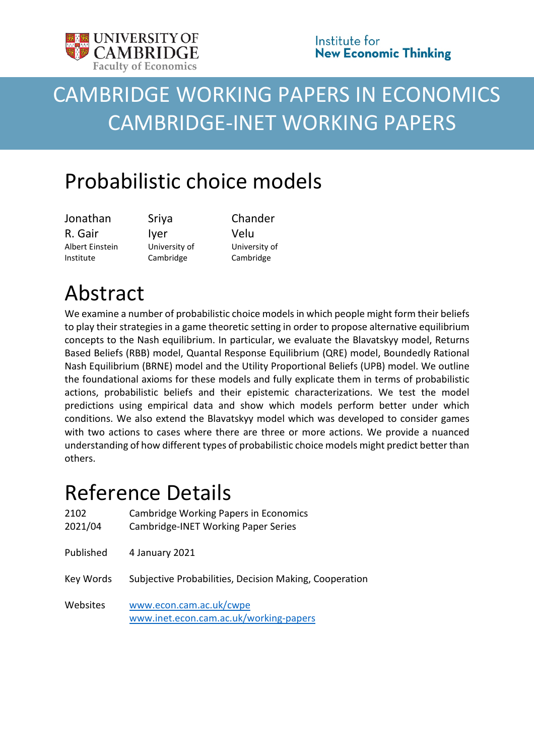<span id="page-0-0"></span>

# CAMBRIDGE WORKING PAPERS IN ECONOMICS CAMBRIDGE-INET WORKING PAPERS

## Probabilistic choice models

Jonathan R. Gair Albert Einstein Institute

Sriya Iyer University of Cambridge

Chander Velu University of Cambridge

# Abstract

We examine a number of probabilistic choice models in which people might form their beliefs to play their strategies in a game theoretic setting in order to propose alternative equilibrium concepts to the Nash equilibrium. In particular, we evaluate the Blavatskyy model, Returns Based Beliefs (RBB) model, Quantal Response Equilibrium (QRE) model, Boundedly Rational Nash Equilibrium (BRNE) model and the Utility Proportional Beliefs (UPB) model. We outline the foundational axioms for these models and fully explicate them in terms of probabilistic actions, probabilistic beliefs and their epistemic characterizations. We test the model predictions using empirical data and show which models perform better under which conditions. We also extend the Blavatskyy model which was developed to consider games with two actions to cases where there are three or more actions. We provide a nuanced understanding of how different types of probabilistic choice models might predict better than others.

## Reference Details

| 2102<br>2021/04 | <b>Cambridge Working Papers in Economics</b><br><b>Cambridge-INET Working Paper Series</b> |
|-----------------|--------------------------------------------------------------------------------------------|
| Published       | 4 January 2021                                                                             |
| Key Words       | Subjective Probabilities, Decision Making, Cooperation                                     |
| Websites        | www.econ.cam.ac.uk/cwpe<br>www.inet.econ.cam.ac.uk/working-papers                          |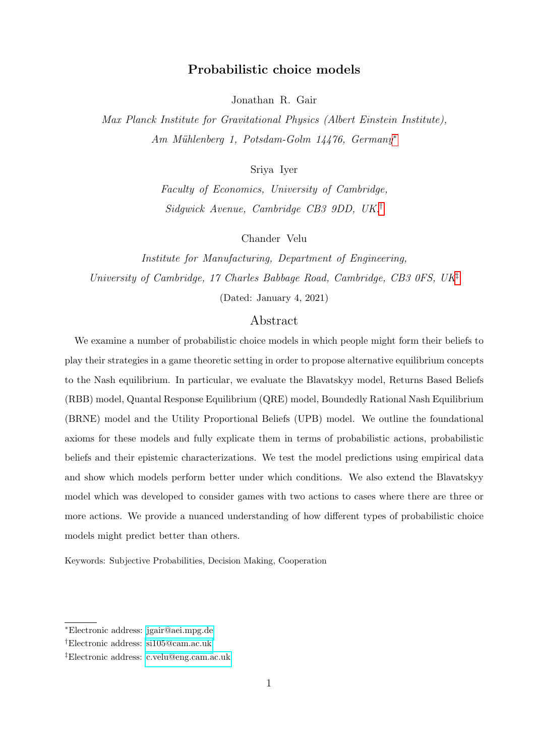### Probabilistic choice models

Jonathan R. Gair

Max Planck Institute for Gravitational Physics (Albert Einstein Institute), Am Mühlenberg 1, Potsdam-Golm 14476, Germany<sup>[∗](#page-1-0)</sup>

Sriya Iyer

Faculty of Economics, University of Cambridge, Sidgwick Avenue, Cambridge CB3 9DD, UK.[†](#page-1-1)

Chander Velu

Institute for Manufacturing, Department of Engineering, University of Cambridge, 17 Charles Babbage Road, Cambridge, CB3 0FS, UK<sup>[‡](#page-1-2)</sup> (Dated: January 4, 2021)

### Abstract

We examine a number of probabilistic choice models in which people might form their beliefs to play their strategies in a game theoretic setting in order to propose alternative equilibrium concepts to the Nash equilibrium. In particular, we evaluate the Blavatskyy model, Returns Based Beliefs (RBB) model, Quantal Response Equilibrium (QRE) model, Boundedly Rational Nash Equilibrium (BRNE) model and the Utility Proportional Beliefs (UPB) model. We outline the foundational axioms for these models and fully explicate them in terms of probabilistic actions, probabilistic beliefs and their epistemic characterizations. We test the model predictions using empirical data and show which models perform better under which conditions. We also extend the Blavatskyy model which was developed to consider games with two actions to cases where there are three or more actions. We provide a nuanced understanding of how different types of probabilistic choice models might predict better than others.

Keywords: Subjective Probabilities, Decision Making, Cooperation

<span id="page-1-1"></span><span id="page-1-0"></span><sup>∗</sup>Electronic address: [jgair@aei.mpg.de](mailto:jgair@aei.mpg.de)

<span id="page-1-2"></span><sup>†</sup>Electronic address: [si105@cam.ac.uk](mailto:si105@cam.ac.uk)

<sup>‡</sup>Electronic address: [c.velu@eng.cam.ac.uk](mailto:c.velu@eng.cam.ac.uk)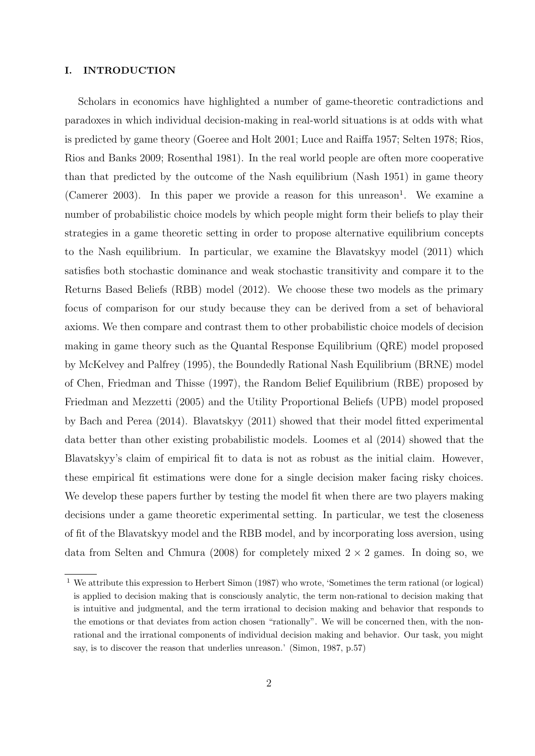#### I. INTRODUCTION

Scholars in economics have highlighted a number of game-theoretic contradictions and paradoxes in which individual decision-making in real-world situations is at odds with what is predicted by game theory (Goeree and Holt 2001; Luce and Raiffa 1957; Selten 1978; Rios, Rios and Banks 2009; Rosenthal 1981). In the real world people are often more cooperative than that predicted by the outcome of the Nash equilibrium (Nash 1951) in game theory (Camerer 2003). In this paper we provide a reason for this unreason<sup>1</sup>. We examine a number of probabilistic choice models by which people might form their beliefs to play their strategies in a game theoretic setting in order to propose alternative equilibrium concepts to the Nash equilibrium. In particular, we examine the Blavatskyy model (2011) which satisfies both stochastic dominance and weak stochastic transitivity and compare it to the Returns Based Beliefs (RBB) model (2012). We choose these two models as the primary focus of comparison for our study because they can be derived from a set of behavioral axioms. We then compare and contrast them to other probabilistic choice models of decision making in game theory such as the Quantal Response Equilibrium (QRE) model proposed by McKelvey and Palfrey (1995), the Boundedly Rational Nash Equilibrium (BRNE) model of Chen, Friedman and Thisse (1997), the Random Belief Equilibrium (RBE) proposed by Friedman and Mezzetti (2005) and the Utility Proportional Beliefs (UPB) model proposed by Bach and Perea (2014). Blavatskyy (2011) showed that their model fitted experimental data better than other existing probabilistic models. Loomes et al (2014) showed that the Blavatskyy's claim of empirical fit to data is not as robust as the initial claim. However, these empirical fit estimations were done for a single decision maker facing risky choices. We develop these papers further by testing the model fit when there are two players making decisions under a game theoretic experimental setting. In particular, we test the closeness of fit of the Blavatskyy model and the RBB model, and by incorporating loss aversion, using data from Selten and Chmura (2008) for completely mixed  $2 \times 2$  games. In doing so, we

<sup>1</sup> We attribute this expression to Herbert Simon (1987) who wrote, 'Sometimes the term rational (or logical) is applied to decision making that is consciously analytic, the term non-rational to decision making that is intuitive and judgmental, and the term irrational to decision making and behavior that responds to the emotions or that deviates from action chosen "rationally". We will be concerned then, with the nonrational and the irrational components of individual decision making and behavior. Our task, you might say, is to discover the reason that underlies unreason.' (Simon, 1987, p.57)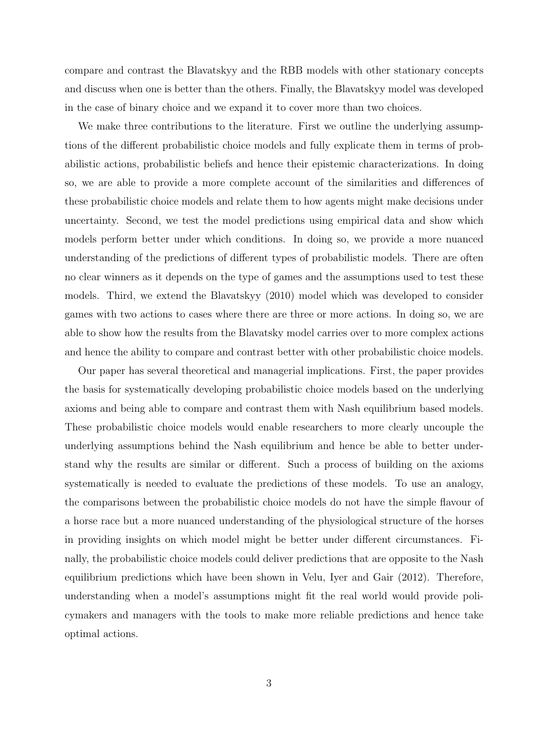compare and contrast the Blavatskyy and the RBB models with other stationary concepts and discuss when one is better than the others. Finally, the Blavatskyy model was developed in the case of binary choice and we expand it to cover more than two choices.

We make three contributions to the literature. First we outline the underlying assumptions of the different probabilistic choice models and fully explicate them in terms of probabilistic actions, probabilistic beliefs and hence their epistemic characterizations. In doing so, we are able to provide a more complete account of the similarities and differences of these probabilistic choice models and relate them to how agents might make decisions under uncertainty. Second, we test the model predictions using empirical data and show which models perform better under which conditions. In doing so, we provide a more nuanced understanding of the predictions of different types of probabilistic models. There are often no clear winners as it depends on the type of games and the assumptions used to test these models. Third, we extend the Blavatskyy (2010) model which was developed to consider games with two actions to cases where there are three or more actions. In doing so, we are able to show how the results from the Blavatsky model carries over to more complex actions and hence the ability to compare and contrast better with other probabilistic choice models.

Our paper has several theoretical and managerial implications. First, the paper provides the basis for systematically developing probabilistic choice models based on the underlying axioms and being able to compare and contrast them with Nash equilibrium based models. These probabilistic choice models would enable researchers to more clearly uncouple the underlying assumptions behind the Nash equilibrium and hence be able to better understand why the results are similar or different. Such a process of building on the axioms systematically is needed to evaluate the predictions of these models. To use an analogy, the comparisons between the probabilistic choice models do not have the simple flavour of a horse race but a more nuanced understanding of the physiological structure of the horses in providing insights on which model might be better under different circumstances. Finally, the probabilistic choice models could deliver predictions that are opposite to the Nash equilibrium predictions which have been shown in Velu, Iyer and Gair (2012). Therefore, understanding when a model's assumptions might fit the real world would provide policymakers and managers with the tools to make more reliable predictions and hence take optimal actions.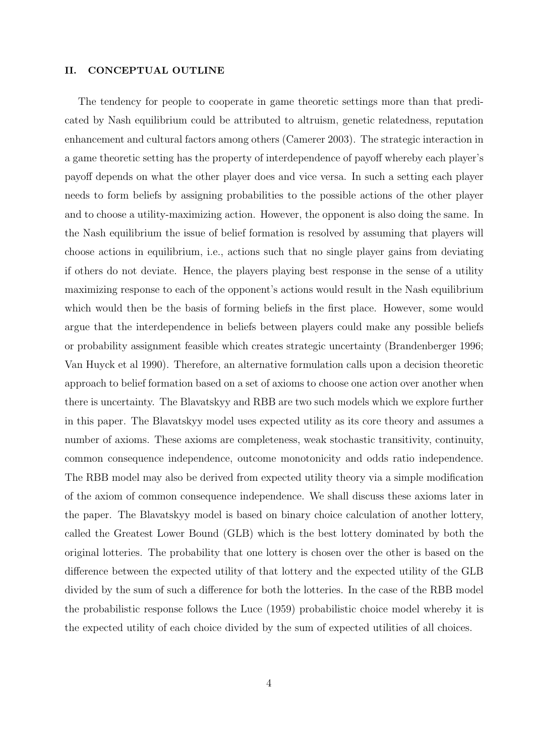#### II. CONCEPTUAL OUTLINE

The tendency for people to cooperate in game theoretic settings more than that predicated by Nash equilibrium could be attributed to altruism, genetic relatedness, reputation enhancement and cultural factors among others (Camerer 2003). The strategic interaction in a game theoretic setting has the property of interdependence of payoff whereby each player's payoff depends on what the other player does and vice versa. In such a setting each player needs to form beliefs by assigning probabilities to the possible actions of the other player and to choose a utility-maximizing action. However, the opponent is also doing the same. In the Nash equilibrium the issue of belief formation is resolved by assuming that players will choose actions in equilibrium, i.e., actions such that no single player gains from deviating if others do not deviate. Hence, the players playing best response in the sense of a utility maximizing response to each of the opponent's actions would result in the Nash equilibrium which would then be the basis of forming beliefs in the first place. However, some would argue that the interdependence in beliefs between players could make any possible beliefs or probability assignment feasible which creates strategic uncertainty (Brandenberger 1996; Van Huyck et al 1990). Therefore, an alternative formulation calls upon a decision theoretic approach to belief formation based on a set of axioms to choose one action over another when there is uncertainty. The Blavatskyy and RBB are two such models which we explore further in this paper. The Blavatskyy model uses expected utility as its core theory and assumes a number of axioms. These axioms are completeness, weak stochastic transitivity, continuity, common consequence independence, outcome monotonicity and odds ratio independence. The RBB model may also be derived from expected utility theory via a simple modification of the axiom of common consequence independence. We shall discuss these axioms later in the paper. The Blavatskyy model is based on binary choice calculation of another lottery, called the Greatest Lower Bound (GLB) which is the best lottery dominated by both the original lotteries. The probability that one lottery is chosen over the other is based on the difference between the expected utility of that lottery and the expected utility of the GLB divided by the sum of such a difference for both the lotteries. In the case of the RBB model the probabilistic response follows the Luce (1959) probabilistic choice model whereby it is the expected utility of each choice divided by the sum of expected utilities of all choices.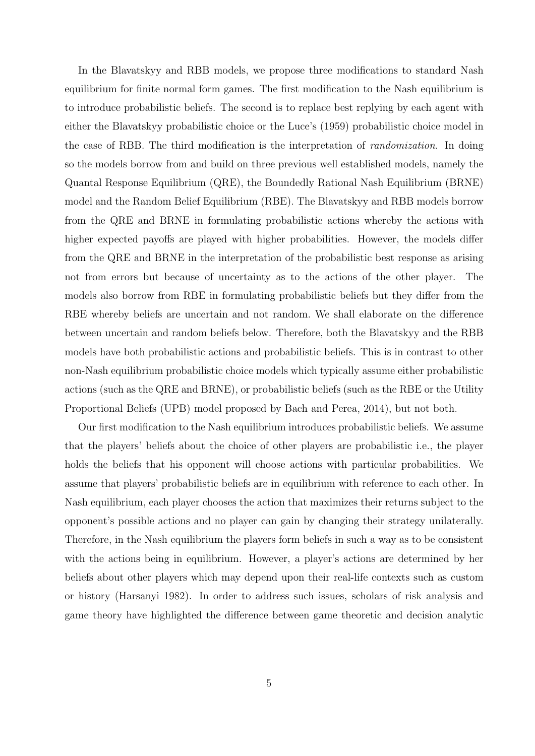In the Blavatskyy and RBB models, we propose three modifications to standard Nash equilibrium for finite normal form games. The first modification to the Nash equilibrium is to introduce probabilistic beliefs. The second is to replace best replying by each agent with either the Blavatskyy probabilistic choice or the Luce's (1959) probabilistic choice model in the case of RBB. The third modification is the interpretation of randomization. In doing so the models borrow from and build on three previous well established models, namely the Quantal Response Equilibrium (QRE), the Boundedly Rational Nash Equilibrium (BRNE) model and the Random Belief Equilibrium (RBE). The Blavatskyy and RBB models borrow from the QRE and BRNE in formulating probabilistic actions whereby the actions with higher expected payoffs are played with higher probabilities. However, the models differ from the QRE and BRNE in the interpretation of the probabilistic best response as arising not from errors but because of uncertainty as to the actions of the other player. The models also borrow from RBE in formulating probabilistic beliefs but they differ from the RBE whereby beliefs are uncertain and not random. We shall elaborate on the difference between uncertain and random beliefs below. Therefore, both the Blavatskyy and the RBB models have both probabilistic actions and probabilistic beliefs. This is in contrast to other non-Nash equilibrium probabilistic choice models which typically assume either probabilistic actions (such as the QRE and BRNE), or probabilistic beliefs (such as the RBE or the Utility Proportional Beliefs (UPB) model proposed by Bach and Perea, 2014), but not both.

Our first modification to the Nash equilibrium introduces probabilistic beliefs. We assume that the players' beliefs about the choice of other players are probabilistic i.e., the player holds the beliefs that his opponent will choose actions with particular probabilities. We assume that players' probabilistic beliefs are in equilibrium with reference to each other. In Nash equilibrium, each player chooses the action that maximizes their returns subject to the opponent's possible actions and no player can gain by changing their strategy unilaterally. Therefore, in the Nash equilibrium the players form beliefs in such a way as to be consistent with the actions being in equilibrium. However, a player's actions are determined by her beliefs about other players which may depend upon their real-life contexts such as custom or history (Harsanyi 1982). In order to address such issues, scholars of risk analysis and game theory have highlighted the difference between game theoretic and decision analytic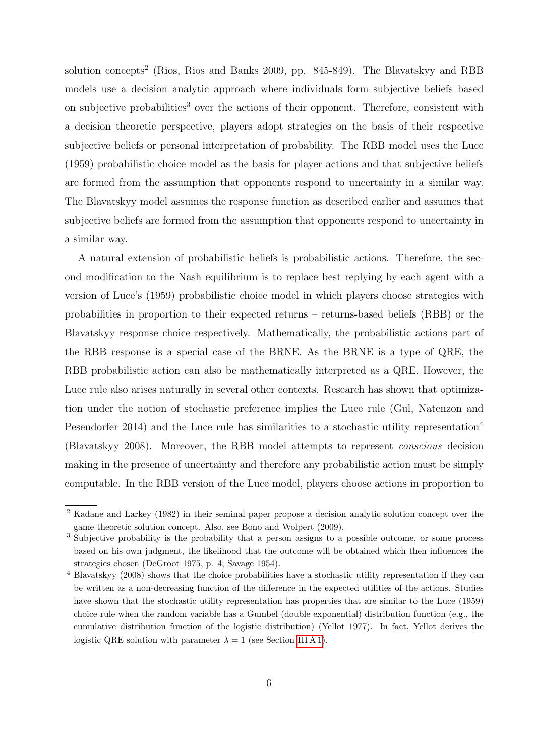solution concepts<sup>2</sup> (Rios, Rios and Banks 2009, pp. 845-849). The Blavatskyy and RBB models use a decision analytic approach where individuals form subjective beliefs based on subjective probabilities<sup>3</sup> over the actions of their opponent. Therefore, consistent with a decision theoretic perspective, players adopt strategies on the basis of their respective subjective beliefs or personal interpretation of probability. The RBB model uses the Luce (1959) probabilistic choice model as the basis for player actions and that subjective beliefs are formed from the assumption that opponents respond to uncertainty in a similar way. The Blavatskyy model assumes the response function as described earlier and assumes that subjective beliefs are formed from the assumption that opponents respond to uncertainty in a similar way.

A natural extension of probabilistic beliefs is probabilistic actions. Therefore, the second modification to the Nash equilibrium is to replace best replying by each agent with a version of Luce's (1959) probabilistic choice model in which players choose strategies with probabilities in proportion to their expected returns – returns-based beliefs (RBB) or the Blavatskyy response choice respectively. Mathematically, the probabilistic actions part of the RBB response is a special case of the BRNE. As the BRNE is a type of QRE, the RBB probabilistic action can also be mathematically interpreted as a QRE. However, the Luce rule also arises naturally in several other contexts. Research has shown that optimization under the notion of stochastic preference implies the Luce rule (Gul, Natenzon and Pesendorfer 2014) and the Luce rule has similarities to a stochastic utility representation<sup>4</sup> (Blavatskyy 2008). Moreover, the RBB model attempts to represent conscious decision making in the presence of uncertainty and therefore any probabilistic action must be simply computable. In the RBB version of the Luce model, players choose actions in proportion to

<sup>2</sup> Kadane and Larkey (1982) in their seminal paper propose a decision analytic solution concept over the game theoretic solution concept. Also, see Bono and Wolpert (2009).

<sup>3</sup> Subjective probability is the probability that a person assigns to a possible outcome, or some process based on his own judgment, the likelihood that the outcome will be obtained which then influences the strategies chosen (DeGroot 1975, p. 4; Savage 1954).

<sup>4</sup> Blavatskyy (2008) shows that the choice probabilities have a stochastic utility representation if they can be written as a non-decreasing function of the difference in the expected utilities of the actions. Studies have shown that the stochastic utility representation has properties that are similar to the Luce (1959) choice rule when the random variable has a Gumbel (double exponential) distribution function (e.g., the cumulative distribution function of the logistic distribution) (Yellot 1977). In fact, Yellot derives the logistic QRE solution with parameter  $\lambda = 1$  (see Section [III A 1\)](#page-17-0).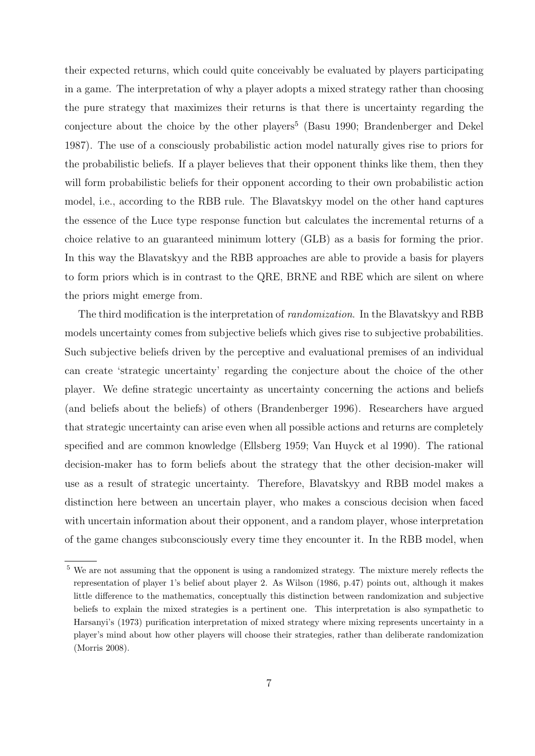their expected returns, which could quite conceivably be evaluated by players participating in a game. The interpretation of why a player adopts a mixed strategy rather than choosing the pure strategy that maximizes their returns is that there is uncertainty regarding the conjecture about the choice by the other players<sup>5</sup> (Basu 1990; Brandenberger and Dekel 1987). The use of a consciously probabilistic action model naturally gives rise to priors for the probabilistic beliefs. If a player believes that their opponent thinks like them, then they will form probabilistic beliefs for their opponent according to their own probabilistic action model, i.e., according to the RBB rule. The Blavatskyy model on the other hand captures the essence of the Luce type response function but calculates the incremental returns of a choice relative to an guaranteed minimum lottery (GLB) as a basis for forming the prior. In this way the Blavatskyy and the RBB approaches are able to provide a basis for players to form priors which is in contrast to the QRE, BRNE and RBE which are silent on where the priors might emerge from.

The third modification is the interpretation of *randomization*. In the Blavatskyy and RBB models uncertainty comes from subjective beliefs which gives rise to subjective probabilities. Such subjective beliefs driven by the perceptive and evaluational premises of an individual can create 'strategic uncertainty' regarding the conjecture about the choice of the other player. We define strategic uncertainty as uncertainty concerning the actions and beliefs (and beliefs about the beliefs) of others (Brandenberger 1996). Researchers have argued that strategic uncertainty can arise even when all possible actions and returns are completely specified and are common knowledge (Ellsberg 1959; Van Huyck et al 1990). The rational decision-maker has to form beliefs about the strategy that the other decision-maker will use as a result of strategic uncertainty. Therefore, Blavatskyy and RBB model makes a distinction here between an uncertain player, who makes a conscious decision when faced with uncertain information about their opponent, and a random player, whose interpretation of the game changes subconsciously every time they encounter it. In the RBB model, when

<sup>5</sup> We are not assuming that the opponent is using a randomized strategy. The mixture merely reflects the representation of player 1's belief about player 2. As Wilson (1986, p.47) points out, although it makes little difference to the mathematics, conceptually this distinction between randomization and subjective beliefs to explain the mixed strategies is a pertinent one. This interpretation is also sympathetic to Harsanyi's (1973) purification interpretation of mixed strategy where mixing represents uncertainty in a player's mind about how other players will choose their strategies, rather than deliberate randomization (Morris 2008).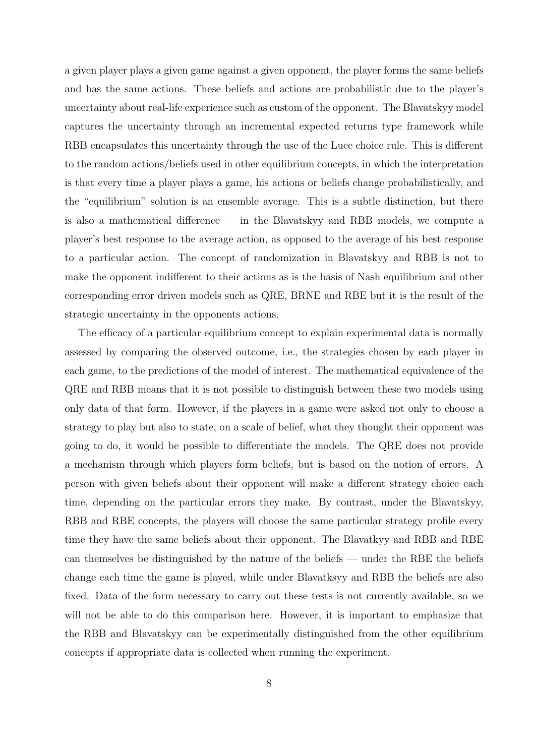a given player plays a given game against a given opponent, the player forms the same beliefs and has the same actions. These beliefs and actions are probabilistic due to the player's uncertainty about real-life experience such as custom of the opponent. The Blavatskyy model captures the uncertainty through an incremental expected returns type framework while RBB encapsulates this uncertainty through the use of the Luce choice rule. This is different to the random actions/beliefs used in other equilibrium concepts, in which the interpretation is that every time a player plays a game, his actions or beliefs change probabilistically, and the "equilibrium" solution is an ensemble average. This is a subtle distinction, but there is also a mathematical difference — in the Blavatskyy and RBB models, we compute a player's best response to the average action, as opposed to the average of his best response to a particular action. The concept of randomization in Blavatskyy and RBB is not to make the opponent indifferent to their actions as is the basis of Nash equilibrium and other corresponding error driven models such as QRE, BRNE and RBE but it is the result of the strategic uncertainty in the opponents actions.

The efficacy of a particular equilibrium concept to explain experimental data is normally assessed by comparing the observed outcome, i.e., the strategies chosen by each player in each game, to the predictions of the model of interest. The mathematical equivalence of the QRE and RBB means that it is not possible to distinguish between these two models using only data of that form. However, if the players in a game were asked not only to choose a strategy to play but also to state, on a scale of belief, what they thought their opponent was going to do, it would be possible to differentiate the models. The QRE does not provide a mechanism through which players form beliefs, but is based on the notion of errors. A person with given beliefs about their opponent will make a different strategy choice each time, depending on the particular errors they make. By contrast, under the Blavatskyy, RBB and RBE concepts, the players will choose the same particular strategy profile every time they have the same beliefs about their opponent. The Blavatkyy and RBB and RBE can themselves be distinguished by the nature of the beliefs — under the RBE the beliefs change each time the game is played, while under Blavatksyy and RBB the beliefs are also fixed. Data of the form necessary to carry out these tests is not currently available, so we will not be able to do this comparison here. However, it is important to emphasize that the RBB and Blavatskyy can be experimentally distinguished from the other equilibrium concepts if appropriate data is collected when running the experiment.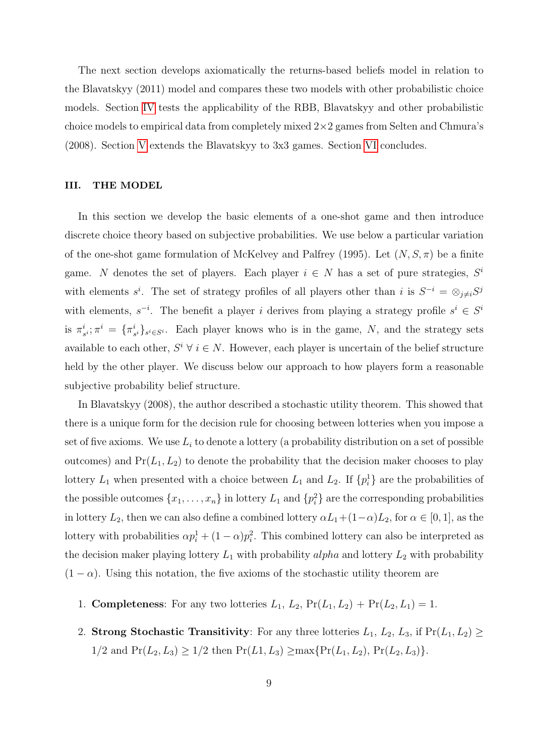The next section develops axiomatically the returns-based beliefs model in relation to the Blavatskyy (2011) model and compares these two models with other probabilistic choice models. Section [IV](#page-22-0) tests the applicability of the RBB, Blavatskyy and other probabilistic choice models to empirical data from completely mixed  $2\times 2$  games from Selten and Chmura's (2008). Section [V](#page-28-0) extends the Blavatskyy to 3x3 games. Section [VI](#page-32-0) concludes.

#### III. THE MODEL

In this section we develop the basic elements of a one-shot game and then introduce discrete choice theory based on subjective probabilities. We use below a particular variation of the one-shot game formulation of McKelvey and Palfrey (1995). Let  $(N, S, \pi)$  be a finite game. N denotes the set of players. Each player  $i \in N$  has a set of pure strategies,  $S^i$ with elements  $s^i$ . The set of strategy profiles of all players other than i is  $S^{-i} = \otimes_{j \neq i} S^j$ with elements,  $s^{-i}$ . The benefit a player i derives from playing a strategy profile  $s^i \in S^i$ is  $\pi^i$  $s^{i}_{s^{i}}$ ;  $\pi^{i} = \{ \pi^{i}_{s}$  $i<sub>s<sub>i</sub></sub>$ <sub>s</sub><sup>i</sup><sub>s</sub><sub>i</sub><sub>s</sub><sup>i</sup><sub>s</sub><sub>i</sub><sub>c</sub>s<sup>*i*</sup>. Each player knows who is in the game, N, and the strategy sets available to each other,  $S^i \forall i \in N$ . However, each player is uncertain of the belief structure held by the other player. We discuss below our approach to how players form a reasonable subjective probability belief structure.

In Blavatskyy (2008), the author described a stochastic utility theorem. This showed that there is a unique form for the decision rule for choosing between lotteries when you impose a set of five axioms. We use  $L_i$  to denote a lottery (a probability distribution on a set of possible outcomes) and  $Pr(L_1, L_2)$  to denote the probability that the decision maker chooses to play lottery  $L_1$  when presented with a choice between  $L_1$  and  $L_2$ . If  $\{p_i^1\}$  are the probabilities of the possible outcomes  $\{x_1, \ldots, x_n\}$  in lottery  $L_1$  and  $\{p_i^2\}$  are the corresponding probabilities in lottery  $L_2$ , then we can also define a combined lottery  $\alpha L_1+(1-\alpha)L_2$ , for  $\alpha \in [0,1]$ , as the lottery with probabilities  $\alpha p_i^1 + (1 - \alpha)p_i^2$ . This combined lottery can also be interpreted as the decision maker playing lottery  $L_1$  with probability alpha and lottery  $L_2$  with probability  $(1 - \alpha)$ . Using this notation, the five axioms of the stochastic utility theorem are

- 1. **Completeness**: For any two lotteries  $L_1$ ,  $L_2$ ,  $Pr(L_1, L_2) + Pr(L_2, L_1) = 1$ .
- 2. Strong Stochastic Transitivity: For any three lotteries  $L_1, L_2, L_3$ , if  $Pr(L_1, L_2) \ge$  $1/2$  and  $Pr(L_2, L_3) \ge 1/2$  then  $Pr(L_1, L_3) \ge \max\{Pr(L_1, L_2), Pr(L_2, L_3)\}.$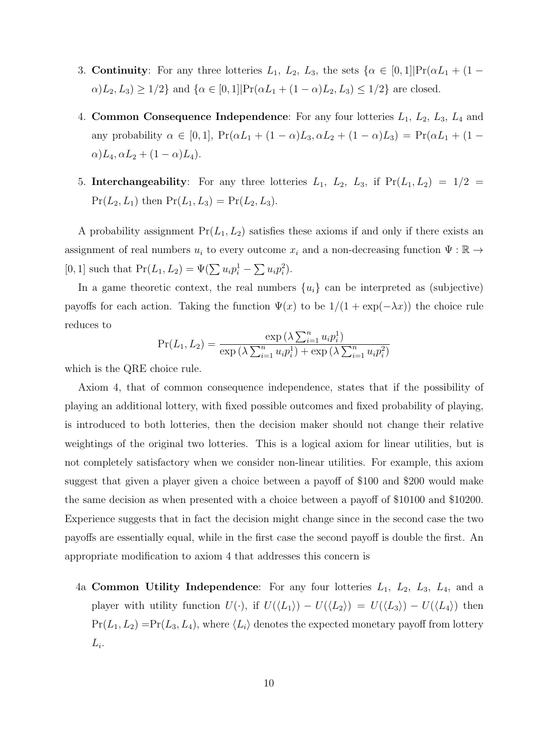- 3. **Continuity**: For any three lotteries  $L_1$ ,  $L_2$ ,  $L_3$ , the sets  $\{\alpha \in [0,1] | \Pr(\alpha L_1 + (1-\alpha) L_2) | \}$  $\alpha$ ,  $L_2, L_3$ )  $\geq 1/2$ } and  $\{\alpha \in [0, 1] | \Pr(\alpha L_1 + (1 - \alpha) L_2, L_3) \leq 1/2\}$  are closed.
- 4. Common Consequence Independence: For any four lotteries  $L_1$ ,  $L_2$ ,  $L_3$ ,  $L_4$  and any probability  $\alpha \in [0, 1]$ ,  $Pr(\alpha L_1 + (1 - \alpha) L_3, \alpha L_2 + (1 - \alpha) L_3) = Pr(\alpha L_1 + (1 - \alpha) L_3)$  $\alpha$ ) $L_4$ ,  $\alpha L_2 + (1 - \alpha) L_4$ ).
- 5. Interchangeability: For any three lotteries  $L_1$ ,  $L_2$ ,  $L_3$ , if  $Pr(L_1, L_2) = 1/2$  $Pr(L_2, L_1)$  then  $Pr(L_1, L_3) = Pr(L_2, L_3)$ .

A probability assignment  $Pr(L_1, L_2)$  satisfies these axioms if and only if there exists an assignment of real numbers  $u_i$  to every outcome  $x_i$  and a non-decreasing function  $\Psi : \mathbb{R} \to$ [0, 1] such that  $Pr(L_1, L_2) = \Psi(\sum u_i p_i^1 - \sum u_i p_i^2)$ .

In a game theoretic context, the real numbers  $\{u_i\}$  can be interpreted as (subjective) payoffs for each action. Taking the function  $\Psi(x)$  to be  $1/(1 + \exp(-\lambda x))$  the choice rule reduces to

$$
Pr(L_1, L_2) = \frac{\exp(\lambda \sum_{i=1}^{n} u_i p_i^1)}{\exp(\lambda \sum_{i=1}^{n} u_i p_i^1) + \exp(\lambda \sum_{i=1}^{n} u_i p_i^2)}
$$

which is the QRE choice rule.

Axiom 4, that of common consequence independence, states that if the possibility of playing an additional lottery, with fixed possible outcomes and fixed probability of playing, is introduced to both lotteries, then the decision maker should not change their relative weightings of the original two lotteries. This is a logical axiom for linear utilities, but is not completely satisfactory when we consider non-linear utilities. For example, this axiom suggest that given a player given a choice between a payoff of \$100 and \$200 would make the same decision as when presented with a choice between a payoff of \$10100 and \$10200. Experience suggests that in fact the decision might change since in the second case the two payoffs are essentially equal, while in the first case the second payoff is double the first. An appropriate modification to axiom 4 that addresses this concern is

4a Common Utility Independence: For any four lotteries  $L_1$ ,  $L_2$ ,  $L_3$ ,  $L_4$ , and a player with utility function  $U(\cdot)$ , if  $U(\langle L_1 \rangle) - U(\langle L_2 \rangle) = U(\langle L_3 \rangle) - U(\langle L_4 \rangle)$  then  $Pr(L_1, L_2) = Pr(L_3, L_4)$ , where  $\langle L_i \rangle$  denotes the expected monetary payoff from lottery  $L_i$ .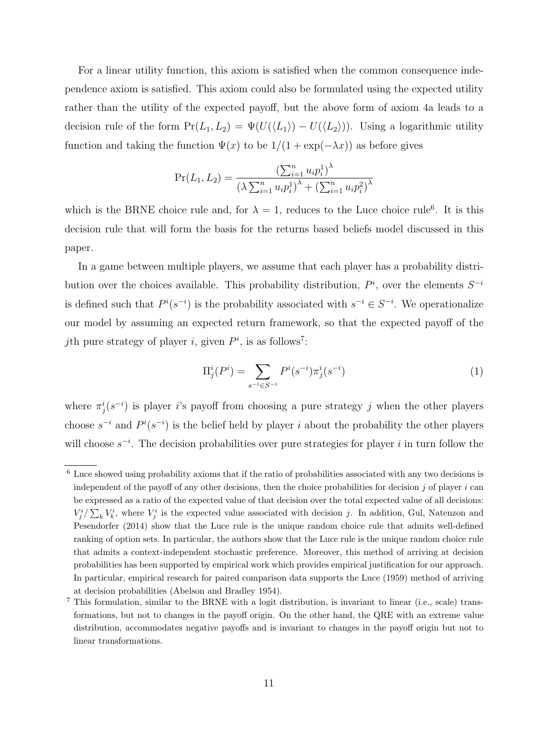For a linear utility function, this axiom is satisfied when the common consequence independence axiom is satisfied. This axiom could also be formulated using the expected utility rather than the utility of the expected payoff, but the above form of axiom 4a leads to a decision rule of the form  $Pr(L_1, L_2) = \Psi(U(\langle L_1 \rangle) - U(\langle L_2 \rangle))$ . Using a logarithmic utility function and taking the function  $\Psi(x)$  to be  $1/(1 + \exp(-\lambda x))$  as before gives

$$
Pr(L_1, L_2) = \frac{\left(\sum_{i=1}^n u_i p_i^1\right)^{\lambda}}{\left(\lambda \sum_{i=1}^n u_i p_i^1\right)^{\lambda} + \left(\sum_{i=1}^n u_i p_i^2\right)^{\lambda}}
$$

which is the BRNE choice rule and, for  $\lambda = 1$ , reduces to the Luce choice rule<sup>6</sup>. It is this decision rule that will form the basis for the returns based beliefs model discussed in this paper.

In a game between multiple players, we assume that each player has a probability distribution over the choices available. This probability distribution,  $P^i$ , over the elements  $S^{-i}$ is defined such that  $P^{i}(s^{-i})$  is the probability associated with  $s^{-i} \in S^{-i}$ . We operationalize our model by assuming an expected return framework, so that the expected payoff of the *j*th pure strategy of player *i*, given  $P<sup>i</sup>$ , is as follows<sup>7</sup>:

<span id="page-11-0"></span>
$$
\Pi_j^i(P^i) = \sum_{s^{-i} \in S^{-i}} P^i(s^{-i}) \pi_j^i(s^{-i}) \tag{1}
$$

where  $\pi_j^i(s^{-i})$  is player is payoff from choosing a pure strategy j when the other players choose  $s^{-i}$  and  $P^{i}(s^{-i})$  is the belief held by player i about the probability the other players will choose  $s^{-i}$ . The decision probabilities over pure strategies for player i in turn follow the

<sup>6</sup> Luce showed using probability axioms that if the ratio of probabilities associated with any two decisions is independent of the payoff of any other decisions, then the choice probabilities for decision  $j$  of player  $i$  can be expressed as a ratio of the expected value of that decision over the total expected value of all decisions:  $V_j^i/\sum_k V_k^i$ , where  $V_j^i$  is the expected value associated with decision j. In addition, Gul, Natenzon and Pesendorfer (2014) show that the Luce rule is the unique random choice rule that admits well-defined ranking of option sets. In particular, the authors show that the Luce rule is the unique random choice rule that admits a context-independent stochastic preference. Moreover, this method of arriving at decision probabilities has been supported by empirical work which provides empirical justification for our approach. In particular, empirical research for paired comparison data supports the Luce (1959) method of arriving at decision probabilities (Abelson and Bradley 1954).

<sup>7</sup> This formulation, similar to the BRNE with a logit distribution, is invariant to linear (i.e., scale) transformations, but not to changes in the payoff origin. On the other hand, the QRE with an extreme value distribution, accommodates negative payoffs and is invariant to changes in the payoff origin but not to linear transformations.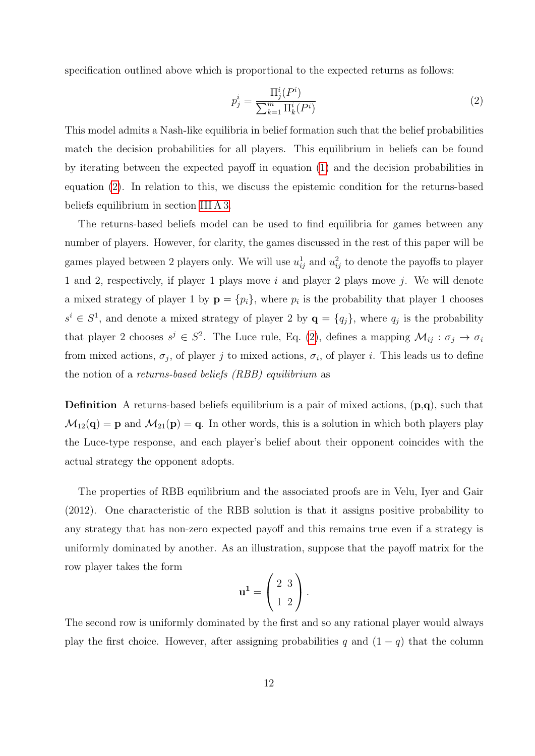specification outlined above which is proportional to the expected returns as follows:

<span id="page-12-0"></span>
$$
p_j^i = \frac{\Pi_j^i(P^i)}{\sum_{k=1}^m \Pi_k^i(P^i)}
$$
\n(2)

This model admits a Nash-like equilibria in belief formation such that the belief probabilities match the decision probabilities for all players. This equilibrium in beliefs can be found by iterating between the expected payoff in equation [\(1\)](#page-11-0) and the decision probabilities in equation [\(2\)](#page-12-0). In relation to this, we discuss the epistemic condition for the returns-based beliefs equilibrium in section [III A 3.](#page-21-0)

The returns-based beliefs model can be used to find equilibria for games between any number of players. However, for clarity, the games discussed in the rest of this paper will be games played between 2 players only. We will use  $u_{ij}^1$  and  $u_{ij}^2$  to denote the payoffs to player 1 and 2, respectively, if player 1 plays move i and player 2 plays move j. We will denote a mixed strategy of player 1 by  $\mathbf{p} = \{p_i\}$ , where  $p_i$  is the probability that player 1 chooses  $s^i \in S^1$ , and denote a mixed strategy of player 2 by  $\mathbf{q} = \{q_j\}$ , where  $q_j$  is the probability that player 2 chooses  $s^j \in S^2$ . The Luce rule, Eq. [\(2\)](#page-12-0), defines a mapping  $\mathcal{M}_{ij} : \sigma_j \to \sigma_i$ from mixed actions,  $\sigma_j$ , of player j to mixed actions,  $\sigma_i$ , of player i. This leads us to define the notion of a returns-based beliefs (RBB) equilibrium as

Definition A returns-based beliefs equilibrium is a pair of mixed actions, (p,q), such that  $\mathcal{M}_{12}(\mathbf{q}) = \mathbf{p}$  and  $\mathcal{M}_{21}(\mathbf{p}) = \mathbf{q}$ . In other words, this is a solution in which both players play the Luce-type response, and each player's belief about their opponent coincides with the actual strategy the opponent adopts.

The properties of RBB equilibrium and the associated proofs are in Velu, Iyer and Gair (2012). One characteristic of the RBB solution is that it assigns positive probability to any strategy that has non-zero expected payoff and this remains true even if a strategy is uniformly dominated by another. As an illustration, suppose that the payoff matrix for the row player takes the form

$$
\mathbf{u}^1 = \left(\begin{array}{c} 2 & 3 \\ 1 & 2 \end{array}\right).
$$

The second row is uniformly dominated by the first and so any rational player would always play the first choice. However, after assigning probabilities q and  $(1 - q)$  that the column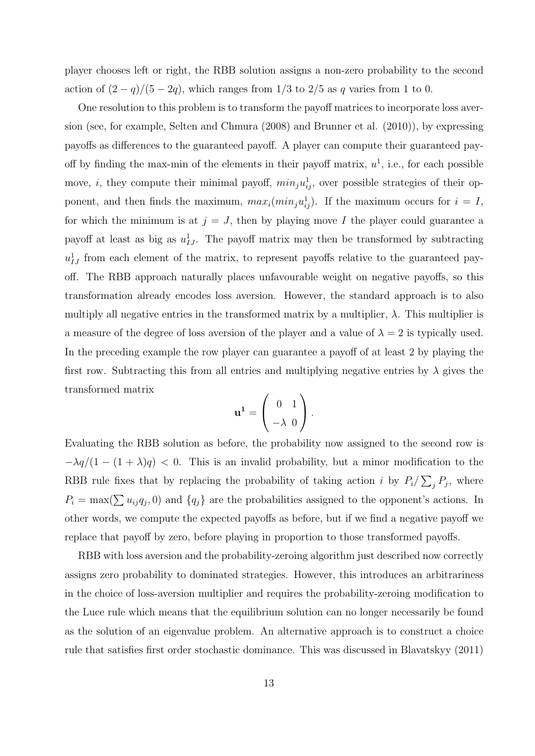player chooses left or right, the RBB solution assigns a non-zero probability to the second action of  $(2 - q)/(5 - 2q)$ , which ranges from 1/3 to 2/5 as q varies from 1 to 0.

One resolution to this problem is to transform the payoff matrices to incorporate loss aversion (see, for example, Selten and Chmura (2008) and Brunner et al. (2010)), by expressing payoffs as differences to the guaranteed payoff. A player can compute their guaranteed payoff by finding the max-min of the elements in their payoff matrix,  $u^1$ , i.e., for each possible move, *i*, they compute their minimal payoff,  $min_j u_{ij}^1$ , over possible strategies of their opponent, and then finds the maximum,  $max_i(min_ju_{ij}^1)$ . If the maximum occurs for  $i = I$ , for which the minimum is at  $j = J$ , then by playing move I the player could guarantee a payoff at least as big as  $u_{IJ}^1$ . The payoff matrix may then be transformed by subtracting  $u_{IJ}^1$  from each element of the matrix, to represent payoffs relative to the guaranteed payoff. The RBB approach naturally places unfavourable weight on negative payoffs, so this transformation already encodes loss aversion. However, the standard approach is to also multiply all negative entries in the transformed matrix by a multiplier,  $\lambda$ . This multiplier is a measure of the degree of loss aversion of the player and a value of  $\lambda = 2$  is typically used. In the preceding example the row player can guarantee a payoff of at least 2 by playing the first row. Subtracting this from all entries and multiplying negative entries by  $\lambda$  gives the transformed matrix

$$
\mathbf{u}^1 = \left(\begin{array}{c} 0 & 1 \\ -\lambda & 0 \end{array}\right).
$$

Evaluating the RBB solution as before, the probability now assigned to the second row is  $-\lambda q/(1-(1+\lambda)q)$  < 0. This is an invalid probability, but a minor modification to the RBB rule fixes that by replacing the probability of taking action i by  $P_i/\sum_j P_j$ , where  $P_i = \max(\sum u_{ij}q_j, 0)$  and  $\{q_j\}$  are the probabilities assigned to the opponent's actions. In other words, we compute the expected payoffs as before, but if we find a negative payoff we replace that payoff by zero, before playing in proportion to those transformed payoffs.

RBB with loss aversion and the probability-zeroing algorithm just described now correctly assigns zero probability to dominated strategies. However, this introduces an arbitrariness in the choice of loss-aversion multiplier and requires the probability-zeroing modification to the Luce rule which means that the equilibrium solution can no longer necessarily be found as the solution of an eigenvalue problem. An alternative approach is to construct a choice rule that satisfies first order stochastic dominance. This was discussed in Blavatskyy (2011)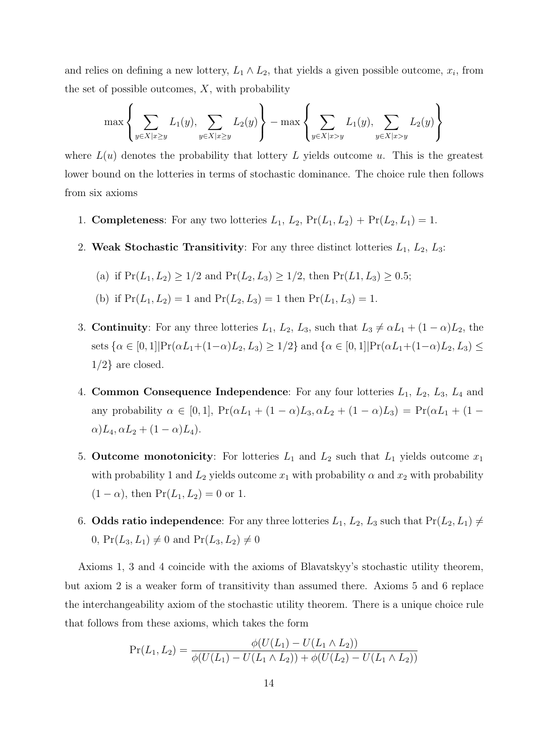and relies on defining a new lottery,  $L_1 \wedge L_2$ , that yields a given possible outcome,  $x_i$ , from the set of possible outcomes,  $X$ , with probability

$$
\max \left\{ \sum_{y \in X | x \ge y} L_1(y), \sum_{y \in X | x \ge y} L_2(y) \right\} - \max \left\{ \sum_{y \in X | x > y} L_1(y), \sum_{y \in X | x > y} L_2(y) \right\}
$$

where  $L(u)$  denotes the probability that lottery L yields outcome u. This is the greatest lower bound on the lotteries in terms of stochastic dominance. The choice rule then follows from six axioms

- 1. **Completeness**: For any two lotteries  $L_1$ ,  $L_2$ ,  $Pr(L_1, L_2) + Pr(L_2, L_1) = 1$ .
- 2. Weak Stochastic Transitivity: For any three distinct lotteries  $L_1, L_2, L_3$ :

(a) if 
$$
Pr(L_1, L_2) \ge 1/2
$$
 and  $Pr(L_2, L_3) \ge 1/2$ , then  $Pr(L_1, L_3) \ge 0.5$ ;

(b) if 
$$
Pr(L_1, L_2) = 1
$$
 and  $Pr(L_2, L_3) = 1$  then  $Pr(L_1, L_3) = 1$ .

- 3. **Continuity**: For any three lotteries  $L_1$ ,  $L_2$ ,  $L_3$ , such that  $L_3 \neq \alpha L_1 + (1 \alpha)L_2$ , the sets  $\{\alpha \in [0,1] | \Pr(\alpha L_1 + (1-\alpha)L_2, L_3) \geq 1/2\}$  and  $\{\alpha \in [0,1] | \Pr(\alpha L_1 + (1-\alpha)L_2, L_3) \leq$  $1/2$  are closed.
- 4. Common Consequence Independence: For any four lotteries  $L_1$ ,  $L_2$ ,  $L_3$ ,  $L_4$  and any probability  $\alpha \in [0, 1]$ ,  $Pr(\alpha L_1 + (1 - \alpha) L_3, \alpha L_2 + (1 - \alpha) L_3) = Pr(\alpha L_1 + (1 - \alpha) L_3)$  $\alpha$ ) $L_4$ ,  $\alpha L_2 + (1 - \alpha) L_4$ ).
- 5. Outcome monotonicity: For lotteries  $L_1$  and  $L_2$  such that  $L_1$  yields outcome  $x_1$ with probability 1 and  $L_2$  yields outcome  $x_1$  with probability  $\alpha$  and  $x_2$  with probability  $(1 - \alpha)$ , then  $Pr(L_1, L_2) = 0$  or 1.
- 6. Odds ratio independence: For any three lotteries  $L_1, L_2, L_3$  such that  $Pr(L_2, L_1) \neq$ 0,  $Pr(L_3, L_1) \neq 0$  and  $Pr(L_3, L_2) \neq 0$

Axioms 1, 3 and 4 coincide with the axioms of Blavatskyy's stochastic utility theorem, but axiom 2 is a weaker form of transitivity than assumed there. Axioms 5 and 6 replace the interchangeability axiom of the stochastic utility theorem. There is a unique choice rule that follows from these axioms, which takes the form

$$
Pr(L_1, L_2) = \frac{\phi(U(L_1) - U(L_1 \wedge L_2))}{\phi(U(L_1) - U(L_1 \wedge L_2)) + \phi(U(L_2) - U(L_1 \wedge L_2))}
$$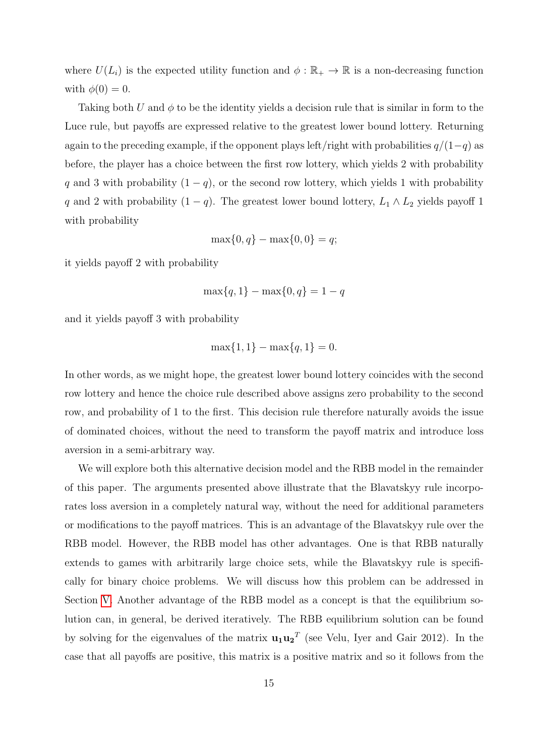where  $U(L_i)$  is the expected utility function and  $\phi : \mathbb{R}_+ \to \mathbb{R}$  is a non-decreasing function with  $\phi(0) = 0$ .

Taking both U and  $\phi$  to be the identity yields a decision rule that is similar in form to the Luce rule, but payoffs are expressed relative to the greatest lower bound lottery. Returning again to the preceding example, if the opponent plays left/right with probabilities  $q/(1-q)$  as before, the player has a choice between the first row lottery, which yields 2 with probability q and 3 with probability  $(1 - q)$ , or the second row lottery, which yields 1 with probability q and 2 with probability  $(1 - q)$ . The greatest lower bound lottery,  $L_1 \wedge L_2$  yields payoff 1 with probability

$$
\max\{0, q\} - \max\{0, 0\} = q;
$$

it yields payoff 2 with probability

$$
\max\{q, 1\} - \max\{0, q\} = 1 - q
$$

and it yields payoff 3 with probability

$$
\max\{1, 1\} - \max\{q, 1\} = 0.
$$

In other words, as we might hope, the greatest lower bound lottery coincides with the second row lottery and hence the choice rule described above assigns zero probability to the second row, and probability of 1 to the first. This decision rule therefore naturally avoids the issue of dominated choices, without the need to transform the payoff matrix and introduce loss aversion in a semi-arbitrary way.

We will explore both this alternative decision model and the RBB model in the remainder of this paper. The arguments presented above illustrate that the Blavatskyy rule incorporates loss aversion in a completely natural way, without the need for additional parameters or modifications to the payoff matrices. This is an advantage of the Blavatskyy rule over the RBB model. However, the RBB model has other advantages. One is that RBB naturally extends to games with arbitrarily large choice sets, while the Blavatskyy rule is specifically for binary choice problems. We will discuss how this problem can be addressed in Section [V.](#page-28-0) Another advantage of the RBB model as a concept is that the equilibrium solution can, in general, be derived iteratively. The RBB equilibrium solution can be found by solving for the eigenvalues of the matrix  $\mathbf{u}_1 \mathbf{u}_2^T$  (see Velu, Iyer and Gair 2012). In the case that all payoffs are positive, this matrix is a positive matrix and so it follows from the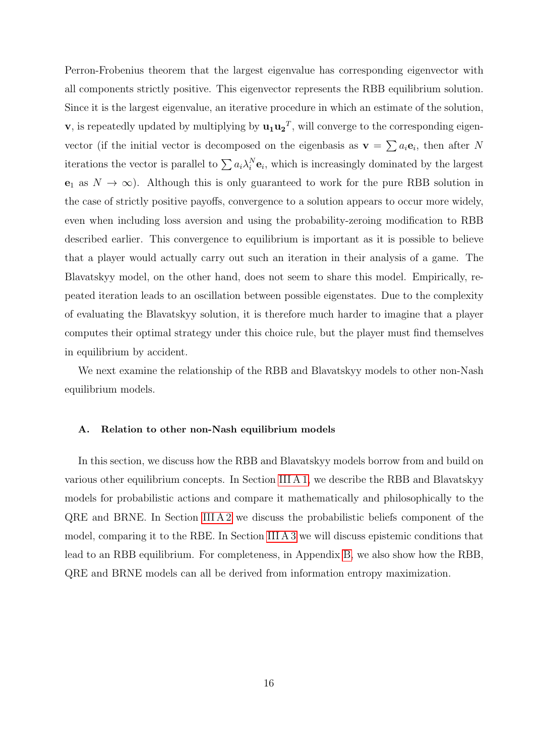Perron-Frobenius theorem that the largest eigenvalue has corresponding eigenvector with all components strictly positive. This eigenvector represents the RBB equilibrium solution. Since it is the largest eigenvalue, an iterative procedure in which an estimate of the solution, v, is repeatedly updated by multiplying by  $\mathbf{u}_1 \mathbf{u}_2^T$ , will converge to the corresponding eigenvector (if the initial vector is decomposed on the eigenbasis as  $\mathbf{v} = \sum a_i \mathbf{e}_i$ , then after N iterations the vector is parallel to  $\sum a_i \lambda_i^N \mathbf{e}_i$ , which is increasingly dominated by the largest  $e_1$  as  $N \to \infty$ ). Although this is only guaranteed to work for the pure RBB solution in the case of strictly positive payoffs, convergence to a solution appears to occur more widely, even when including loss aversion and using the probability-zeroing modification to RBB described earlier. This convergence to equilibrium is important as it is possible to believe that a player would actually carry out such an iteration in their analysis of a game. The Blavatskyy model, on the other hand, does not seem to share this model. Empirically, repeated iteration leads to an oscillation between possible eigenstates. Due to the complexity of evaluating the Blavatskyy solution, it is therefore much harder to imagine that a player computes their optimal strategy under this choice rule, but the player must find themselves in equilibrium by accident.

We next examine the relationship of the RBB and Blavatskyy models to other non-Nash equilibrium models.

#### A. Relation to other non-Nash equilibrium models

In this section, we discuss how the RBB and Blavatskyy models borrow from and build on various other equilibrium concepts. In Section [III A 1,](#page-17-0) we describe the RBB and Blavatskyy models for probabilistic actions and compare it mathematically and philosophically to the QRE and BRNE. In Section [III A 2](#page-19-0) we discuss the probabilistic beliefs component of the model, comparing it to the RBE. In Section [III A 3](#page-21-0) we will discuss epistemic conditions that lead to an RBB equilibrium. For completeness, in Appendix [B,](#page-41-0) we also show how the RBB, QRE and BRNE models can all be derived from information entropy maximization.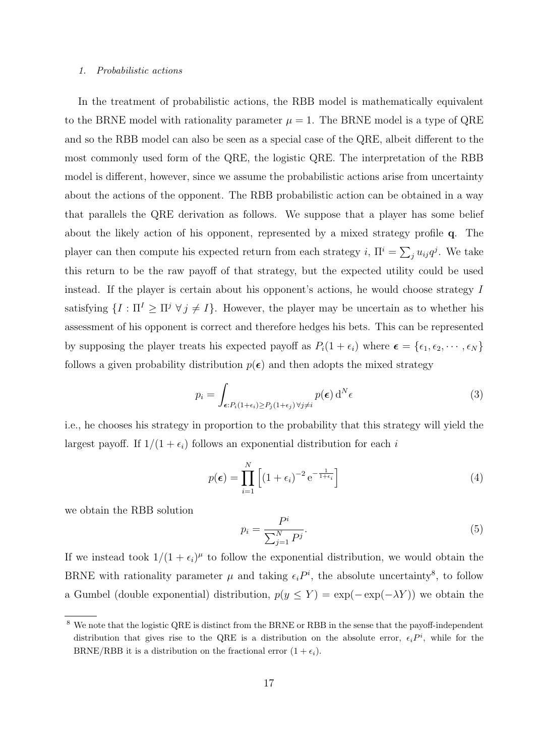#### <span id="page-17-0"></span>1. Probabilistic actions

In the treatment of probabilistic actions, the RBB model is mathematically equivalent to the BRNE model with rationality parameter  $\mu = 1$ . The BRNE model is a type of QRE and so the RBB model can also be seen as a special case of the QRE, albeit different to the most commonly used form of the QRE, the logistic QRE. The interpretation of the RBB model is different, however, since we assume the probabilistic actions arise from uncertainty about the actions of the opponent. The RBB probabilistic action can be obtained in a way that parallels the QRE derivation as follows. We suppose that a player has some belief about the likely action of his opponent, represented by a mixed strategy profile q. The player can then compute his expected return from each strategy i,  $\Pi^i = \sum_j u_{ij} q^j$ . We take this return to be the raw payoff of that strategy, but the expected utility could be used instead. If the player is certain about his opponent's actions, he would choose strategy I satisfying  $\{I : \Pi^I \geq \Pi^j \ \forall j \neq I\}$ . However, the player may be uncertain as to whether his assessment of his opponent is correct and therefore hedges his bets. This can be represented by supposing the player treats his expected payoff as  $P_i(1 + \epsilon_i)$  where  $\boldsymbol{\epsilon} = {\epsilon_1, \epsilon_2, \cdots, \epsilon_N}$ follows a given probability distribution  $p(\epsilon)$  and then adopts the mixed strategy

$$
p_i = \int_{\epsilon: P_i(1+\epsilon_i) \ge P_j(1+\epsilon_j) \,\forall j \ne i} p(\epsilon) \, \mathrm{d}^N \epsilon \tag{3}
$$

i.e., he chooses his strategy in proportion to the probability that this strategy will yield the largest payoff. If  $1/(1 + \epsilon_i)$  follows an exponential distribution for each i

$$
p(\epsilon) = \prod_{i=1}^{N} \left[ (1 + \epsilon_i)^{-2} e^{-\frac{1}{1 + \epsilon_i}} \right]
$$
 (4)

we obtain the RBB solution

$$
p_i = \frac{P^i}{\sum_{j=1}^N P^j}.\tag{5}
$$

If we instead took  $1/(1 + \epsilon_i)^{\mu}$  to follow the exponential distribution, we would obtain the BRNE with rationality parameter  $\mu$  and taking  $\epsilon_i P^i$ , the absolute uncertainty<sup>8</sup>, to follow a Gumbel (double exponential) distribution,  $p(y \le Y) = \exp(-\exp(-\lambda Y))$  we obtain the

<sup>8</sup> We note that the logistic QRE is distinct from the BRNE or RBB in the sense that the payoff-independent distribution that gives rise to the QRE is a distribution on the absolute error,  $\epsilon_i P^i$ , while for the BRNE/RBB it is a distribution on the fractional error  $(1 + \epsilon_i)$ .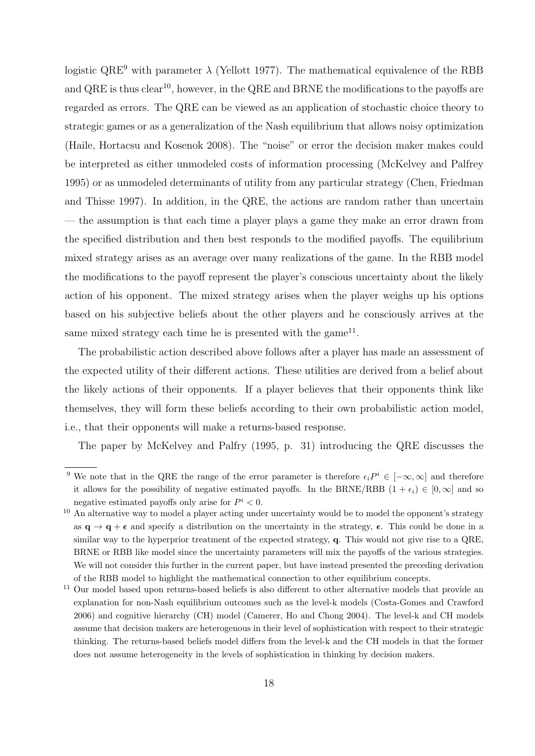logistic  $QRE<sup>9</sup>$  with parameter  $\lambda$  (Yellott 1977). The mathematical equivalence of the RBB and  $QRE$  is thus clear<sup>10</sup>, however, in the  $QRE$  and BRNE the modifications to the payoffs are regarded as errors. The QRE can be viewed as an application of stochastic choice theory to strategic games or as a generalization of the Nash equilibrium that allows noisy optimization (Haile, Hortacsu and Kosenok 2008). The "noise" or error the decision maker makes could be interpreted as either unmodeled costs of information processing (McKelvey and Palfrey 1995) or as unmodeled determinants of utility from any particular strategy (Chen, Friedman and Thisse 1997). In addition, in the QRE, the actions are random rather than uncertain — the assumption is that each time a player plays a game they make an error drawn from the specified distribution and then best responds to the modified payoffs. The equilibrium mixed strategy arises as an average over many realizations of the game. In the RBB model the modifications to the payoff represent the player's conscious uncertainty about the likely action of his opponent. The mixed strategy arises when the player weighs up his options based on his subjective beliefs about the other players and he consciously arrives at the same mixed strategy each time he is presented with the game<sup>11</sup>.

The probabilistic action described above follows after a player has made an assessment of the expected utility of their different actions. These utilities are derived from a belief about the likely actions of their opponents. If a player believes that their opponents think like themselves, they will form these beliefs according to their own probabilistic action model, i.e., that their opponents will make a returns-based response.

The paper by McKelvey and Palfry (1995, p. 31) introducing the QRE discusses the

<sup>&</sup>lt;sup>9</sup> We note that in the QRE the range of the error parameter is therefore  $\epsilon_i P^i \in [-\infty, \infty]$  and therefore it allows for the possibility of negative estimated payoffs. In the BRNE/RBB  $(1 + \epsilon_i) \in [0, \infty]$  and so negative estimated payoffs only arise for  $P^i < 0$ .

<sup>&</sup>lt;sup>10</sup> An alternative way to model a player acting under uncertainty would be to model the opponent's strategy as  $\mathbf{q} \to \mathbf{q} + \boldsymbol{\epsilon}$  and specify a distribution on the uncertainty in the strategy,  $\boldsymbol{\epsilon}$ . This could be done in a similar way to the hyperprior treatment of the expected strategy, q. This would not give rise to a QRE, BRNE or RBB like model since the uncertainty parameters will mix the payoffs of the various strategies. We will not consider this further in the current paper, but have instead presented the preceding derivation of the RBB model to highlight the mathematical connection to other equilibrium concepts.

<sup>&</sup>lt;sup>11</sup> Our model based upon returns-based beliefs is also different to other alternative models that provide an explanation for non-Nash equilibrium outcomes such as the level-k models (Costa-Gomes and Crawford 2006) and cognitive hierarchy (CH) model (Camerer, Ho and Chong 2004). The level-k and CH models assume that decision makers are heterogenous in their level of sophistication with respect to their strategic thinking. The returns-based beliefs model differs from the level-k and the CH models in that the former does not assume heterogeneity in the levels of sophistication in thinking by decision makers.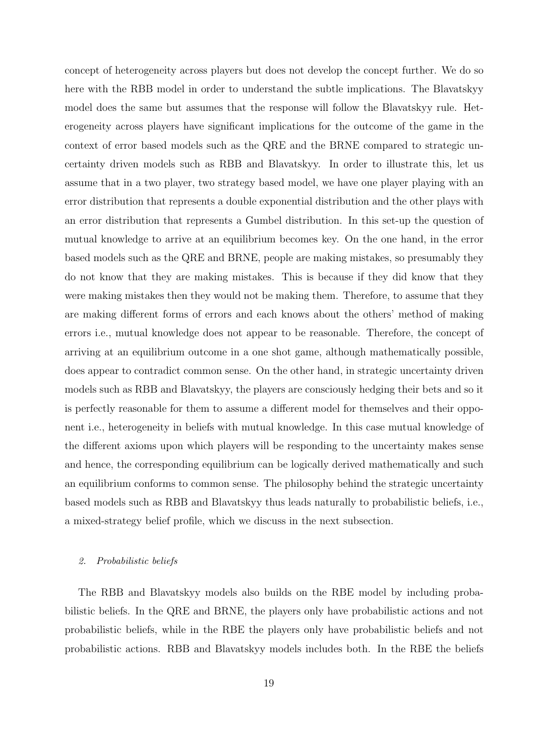concept of heterogeneity across players but does not develop the concept further. We do so here with the RBB model in order to understand the subtle implications. The Blavatskyy model does the same but assumes that the response will follow the Blavatskyy rule. Heterogeneity across players have significant implications for the outcome of the game in the context of error based models such as the QRE and the BRNE compared to strategic uncertainty driven models such as RBB and Blavatskyy. In order to illustrate this, let us assume that in a two player, two strategy based model, we have one player playing with an error distribution that represents a double exponential distribution and the other plays with an error distribution that represents a Gumbel distribution. In this set-up the question of mutual knowledge to arrive at an equilibrium becomes key. On the one hand, in the error based models such as the QRE and BRNE, people are making mistakes, so presumably they do not know that they are making mistakes. This is because if they did know that they were making mistakes then they would not be making them. Therefore, to assume that they are making different forms of errors and each knows about the others' method of making errors i.e., mutual knowledge does not appear to be reasonable. Therefore, the concept of arriving at an equilibrium outcome in a one shot game, although mathematically possible, does appear to contradict common sense. On the other hand, in strategic uncertainty driven models such as RBB and Blavatskyy, the players are consciously hedging their bets and so it is perfectly reasonable for them to assume a different model for themselves and their opponent i.e., heterogeneity in beliefs with mutual knowledge. In this case mutual knowledge of the different axioms upon which players will be responding to the uncertainty makes sense and hence, the corresponding equilibrium can be logically derived mathematically and such an equilibrium conforms to common sense. The philosophy behind the strategic uncertainty based models such as RBB and Blavatskyy thus leads naturally to probabilistic beliefs, i.e., a mixed-strategy belief profile, which we discuss in the next subsection.

#### <span id="page-19-0"></span>2. Probabilistic beliefs

The RBB and Blavatskyy models also builds on the RBE model by including probabilistic beliefs. In the QRE and BRNE, the players only have probabilistic actions and not probabilistic beliefs, while in the RBE the players only have probabilistic beliefs and not probabilistic actions. RBB and Blavatskyy models includes both. In the RBE the beliefs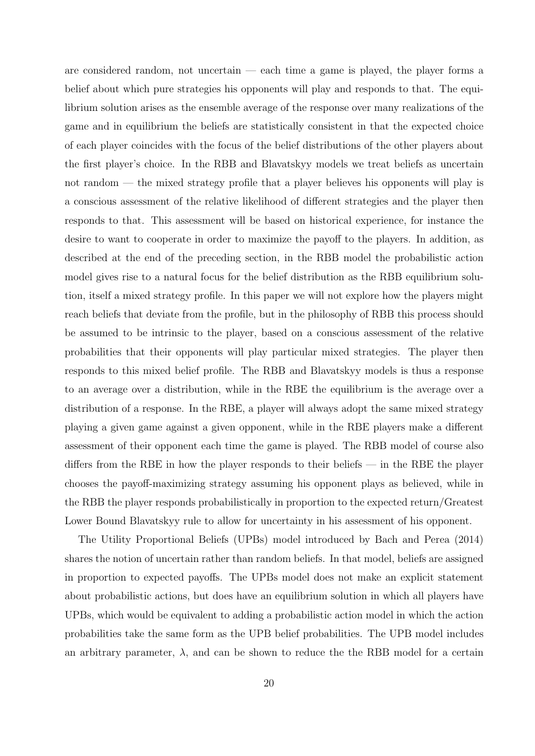are considered random, not uncertain — each time a game is played, the player forms a belief about which pure strategies his opponents will play and responds to that. The equilibrium solution arises as the ensemble average of the response over many realizations of the game and in equilibrium the beliefs are statistically consistent in that the expected choice of each player coincides with the focus of the belief distributions of the other players about the first player's choice. In the RBB and Blavatskyy models we treat beliefs as uncertain not random — the mixed strategy profile that a player believes his opponents will play is a conscious assessment of the relative likelihood of different strategies and the player then responds to that. This assessment will be based on historical experience, for instance the desire to want to cooperate in order to maximize the payoff to the players. In addition, as described at the end of the preceding section, in the RBB model the probabilistic action model gives rise to a natural focus for the belief distribution as the RBB equilibrium solution, itself a mixed strategy profile. In this paper we will not explore how the players might reach beliefs that deviate from the profile, but in the philosophy of RBB this process should be assumed to be intrinsic to the player, based on a conscious assessment of the relative probabilities that their opponents will play particular mixed strategies. The player then responds to this mixed belief profile. The RBB and Blavatskyy models is thus a response to an average over a distribution, while in the RBE the equilibrium is the average over a distribution of a response. In the RBE, a player will always adopt the same mixed strategy playing a given game against a given opponent, while in the RBE players make a different assessment of their opponent each time the game is played. The RBB model of course also differs from the RBE in how the player responds to their beliefs — in the RBE the player chooses the payoff-maximizing strategy assuming his opponent plays as believed, while in the RBB the player responds probabilistically in proportion to the expected return/Greatest Lower Bound Blavatskyy rule to allow for uncertainty in his assessment of his opponent.

The Utility Proportional Beliefs (UPBs) model introduced by Bach and Perea (2014) shares the notion of uncertain rather than random beliefs. In that model, beliefs are assigned in proportion to expected payoffs. The UPBs model does not make an explicit statement about probabilistic actions, but does have an equilibrium solution in which all players have UPBs, which would be equivalent to adding a probabilistic action model in which the action probabilities take the same form as the UPB belief probabilities. The UPB model includes an arbitrary parameter,  $\lambda$ , and can be shown to reduce the the RBB model for a certain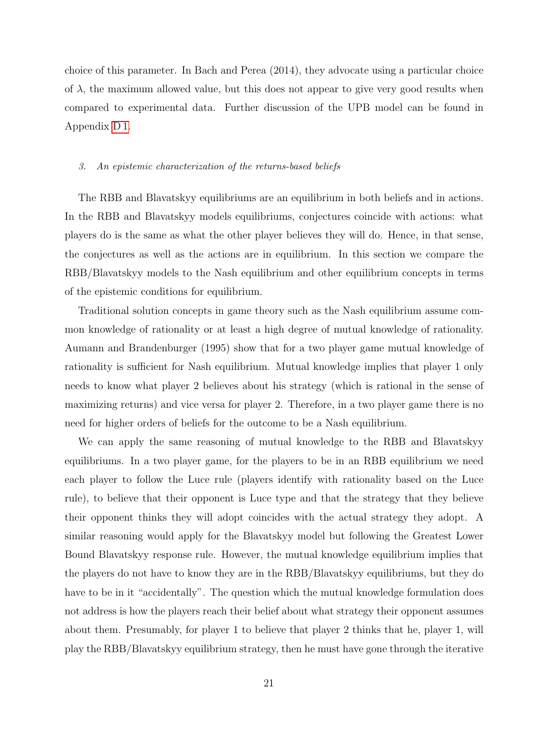choice of this parameter. In Bach and Perea (2014), they advocate using a particular choice of  $\lambda$ , the maximum allowed value, but this does not appear to give very good results when compared to experimental data. Further discussion of the UPB model can be found in Appendix [D 1.](#page-44-0)

#### <span id="page-21-0"></span>3. An epistemic characterization of the returns-based beliefs

The RBB and Blavatskyy equilibriums are an equilibrium in both beliefs and in actions. In the RBB and Blavatskyy models equilibriums, conjectures coincide with actions: what players do is the same as what the other player believes they will do. Hence, in that sense, the conjectures as well as the actions are in equilibrium. In this section we compare the RBB/Blavatskyy models to the Nash equilibrium and other equilibrium concepts in terms of the epistemic conditions for equilibrium.

Traditional solution concepts in game theory such as the Nash equilibrium assume common knowledge of rationality or at least a high degree of mutual knowledge of rationality. Aumann and Brandenburger (1995) show that for a two player game mutual knowledge of rationality is sufficient for Nash equilibrium. Mutual knowledge implies that player 1 only needs to know what player 2 believes about his strategy (which is rational in the sense of maximizing returns) and vice versa for player 2. Therefore, in a two player game there is no need for higher orders of beliefs for the outcome to be a Nash equilibrium.

We can apply the same reasoning of mutual knowledge to the RBB and Blavatskyy equilibriums. In a two player game, for the players to be in an RBB equilibrium we need each player to follow the Luce rule (players identify with rationality based on the Luce rule), to believe that their opponent is Luce type and that the strategy that they believe their opponent thinks they will adopt coincides with the actual strategy they adopt. A similar reasoning would apply for the Blavatskyy model but following the Greatest Lower Bound Blavatskyy response rule. However, the mutual knowledge equilibrium implies that the players do not have to know they are in the RBB/Blavatskyy equilibriums, but they do have to be in it "accidentally". The question which the mutual knowledge formulation does not address is how the players reach their belief about what strategy their opponent assumes about them. Presumably, for player 1 to believe that player 2 thinks that he, player 1, will play the RBB/Blavatskyy equilibrium strategy, then he must have gone through the iterative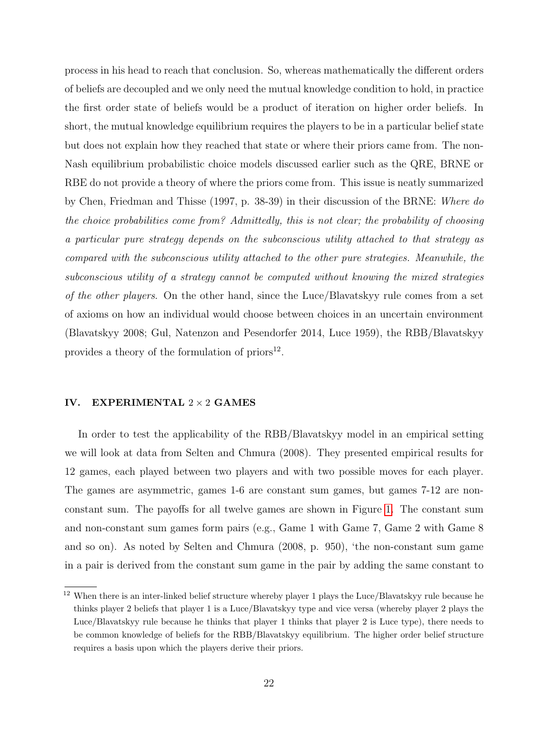process in his head to reach that conclusion. So, whereas mathematically the different orders of beliefs are decoupled and we only need the mutual knowledge condition to hold, in practice the first order state of beliefs would be a product of iteration on higher order beliefs. In short, the mutual knowledge equilibrium requires the players to be in a particular belief state but does not explain how they reached that state or where their priors came from. The non-Nash equilibrium probabilistic choice models discussed earlier such as the QRE, BRNE or RBE do not provide a theory of where the priors come from. This issue is neatly summarized by Chen, Friedman and Thisse (1997, p. 38-39) in their discussion of the BRNE: Where do the choice probabilities come from? Admittedly, this is not clear; the probability of choosing a particular pure strategy depends on the subconscious utility attached to that strategy as compared with the subconscious utility attached to the other pure strategies. Meanwhile, the subconscious utility of a strategy cannot be computed without knowing the mixed strategies of the other players. On the other hand, since the Luce/Blavatskyy rule comes from a set of axioms on how an individual would choose between choices in an uncertain environment (Blavatskyy 2008; Gul, Natenzon and Pesendorfer 2014, Luce 1959), the RBB/Blavatskyy provides a theory of the formulation of  $\text{priors}^{12}$ .

#### <span id="page-22-0"></span>IV. EXPERIMENTAL  $2 \times 2$  GAMES

In order to test the applicability of the RBB/Blavatskyy model in an empirical setting we will look at data from Selten and Chmura (2008). They presented empirical results for 12 games, each played between two players and with two possible moves for each player. The games are asymmetric, games 1-6 are constant sum games, but games 7-12 are nonconstant sum. The payoffs for all twelve games are shown in Figure [1.](#page-24-0) The constant sum and non-constant sum games form pairs (e.g., Game 1 with Game 7, Game 2 with Game 8 and so on). As noted by Selten and Chmura (2008, p. 950), 'the non-constant sum game in a pair is derived from the constant sum game in the pair by adding the same constant to

<sup>12</sup> When there is an inter-linked belief structure whereby player 1 plays the Luce/Blavatskyy rule because he thinks player 2 beliefs that player 1 is a Luce/Blavatskyy type and vice versa (whereby player 2 plays the Luce/Blavatskyy rule because he thinks that player 1 thinks that player 2 is Luce type), there needs to be common knowledge of beliefs for the RBB/Blavatskyy equilibrium. The higher order belief structure requires a basis upon which the players derive their priors.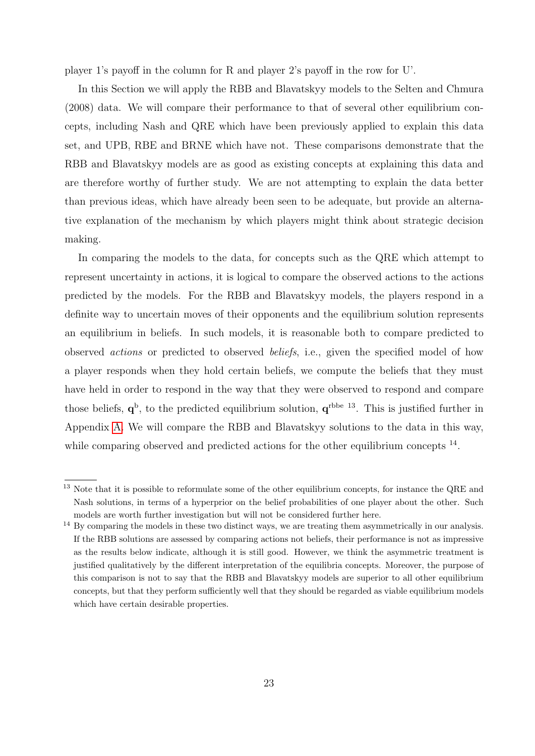player 1's payoff in the column for R and player 2's payoff in the row for U'.

In this Section we will apply the RBB and Blavatskyy models to the Selten and Chmura (2008) data. We will compare their performance to that of several other equilibrium concepts, including Nash and QRE which have been previously applied to explain this data set, and UPB, RBE and BRNE which have not. These comparisons demonstrate that the RBB and Blavatskyy models are as good as existing concepts at explaining this data and are therefore worthy of further study. We are not attempting to explain the data better than previous ideas, which have already been seen to be adequate, but provide an alternative explanation of the mechanism by which players might think about strategic decision making.

In comparing the models to the data, for concepts such as the QRE which attempt to represent uncertainty in actions, it is logical to compare the observed actions to the actions predicted by the models. For the RBB and Blavatskyy models, the players respond in a definite way to uncertain moves of their opponents and the equilibrium solution represents an equilibrium in beliefs. In such models, it is reasonable both to compare predicted to observed actions or predicted to observed beliefs, i.e., given the specified model of how a player responds when they hold certain beliefs, we compute the beliefs that they must have held in order to respond in the way that they were observed to respond and compare those beliefs,  $q^b$ , to the predicted equilibrium solution,  $q^{rbbe}$  <sup>13</sup>. This is justified further in Appendix [A.](#page-40-0) We will compare the RBB and Blavatskyy solutions to the data in this way, while comparing observed and predicted actions for the other equilibrium concepts <sup>14</sup>.

<sup>&</sup>lt;sup>13</sup> Note that it is possible to reformulate some of the other equilibrium concepts, for instance the QRE and Nash solutions, in terms of a hyperprior on the belief probabilities of one player about the other. Such models are worth further investigation but will not be considered further here.

<sup>&</sup>lt;sup>14</sup> By comparing the models in these two distinct ways, we are treating them asymmetrically in our analysis. If the RBB solutions are assessed by comparing actions not beliefs, their performance is not as impressive as the results below indicate, although it is still good. However, we think the asymmetric treatment is justified qualitatively by the different interpretation of the equilibria concepts. Moreover, the purpose of this comparison is not to say that the RBB and Blavatskyy models are superior to all other equilibrium concepts, but that they perform sufficiently well that they should be regarded as viable equilibrium models which have certain desirable properties.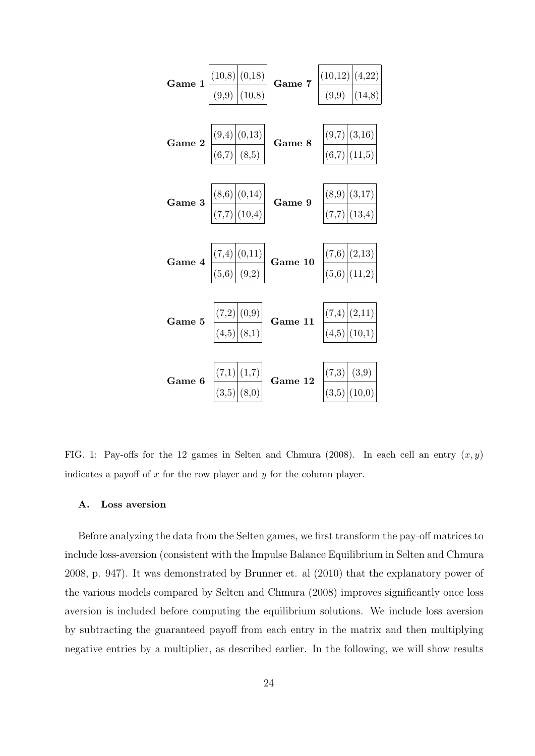

<span id="page-24-0"></span>FIG. 1: Pay-offs for the 12 games in Selten and Chmura (2008). In each cell an entry  $(x, y)$ indicates a payoff of  $x$  for the row player and  $y$  for the column player.

#### A. Loss aversion

Before analyzing the data from the Selten games, we first transform the pay-off matrices to include loss-aversion (consistent with the Impulse Balance Equilibrium in Selten and Chmura 2008, p. 947). It was demonstrated by Brunner et. al (2010) that the explanatory power of the various models compared by Selten and Chmura (2008) improves significantly once loss aversion is included before computing the equilibrium solutions. We include loss aversion by subtracting the guaranteed payoff from each entry in the matrix and then multiplying negative entries by a multiplier, as described earlier. In the following, we will show results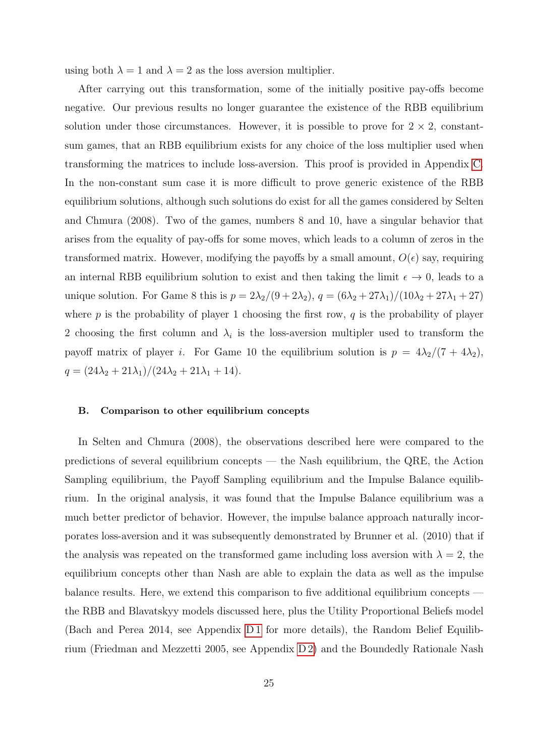using both  $\lambda = 1$  and  $\lambda = 2$  as the loss aversion multiplier.

After carrying out this transformation, some of the initially positive pay-offs become negative. Our previous results no longer guarantee the existence of the RBB equilibrium solution under those circumstances. However, it is possible to prove for  $2 \times 2$ , constantsum games, that an RBB equilibrium exists for any choice of the loss multiplier used when transforming the matrices to include loss-aversion. This proof is provided in Appendix [C.](#page-42-0) In the non-constant sum case it is more difficult to prove generic existence of the RBB equilibrium solutions, although such solutions do exist for all the games considered by Selten and Chmura (2008). Two of the games, numbers 8 and 10, have a singular behavior that arises from the equality of pay-offs for some moves, which leads to a column of zeros in the transformed matrix. However, modifying the payoffs by a small amount,  $O(\epsilon)$  say, requiring an internal RBB equilibrium solution to exist and then taking the limit  $\epsilon \to 0$ , leads to a unique solution. For Game 8 this is  $p = 2\lambda_2/(9 + 2\lambda_2)$ ,  $q = (6\lambda_2 + 27\lambda_1)/(10\lambda_2 + 27\lambda_1 + 27)$ where  $p$  is the probability of player 1 choosing the first row,  $q$  is the probability of player 2 choosing the first column and  $\lambda_i$  is the loss-aversion multipler used to transform the payoff matrix of player *i*. For Game 10 the equilibrium solution is  $p = 4\lambda_2/(7 + 4\lambda_2)$ ,  $q = (24\lambda_2 + 21\lambda_1)/(24\lambda_2 + 21\lambda_1 + 14).$ 

#### B. Comparison to other equilibrium concepts

In Selten and Chmura (2008), the observations described here were compared to the predictions of several equilibrium concepts — the Nash equilibrium, the QRE, the Action Sampling equilibrium, the Payoff Sampling equilibrium and the Impulse Balance equilibrium. In the original analysis, it was found that the Impulse Balance equilibrium was a much better predictor of behavior. However, the impulse balance approach naturally incorporates loss-aversion and it was subsequently demonstrated by Brunner et al. (2010) that if the analysis was repeated on the transformed game including loss aversion with  $\lambda = 2$ , the equilibrium concepts other than Nash are able to explain the data as well as the impulse balance results. Here, we extend this comparison to five additional equilibrium concepts the RBB and Blavatskyy models discussed here, plus the Utility Proportional Beliefs model (Bach and Perea 2014, see Appendix D1 for more details), the Random Belief Equilibrium (Friedman and Mezzetti 2005, see Appendix [D 2\)](#page-46-0) and the Boundedly Rationale Nash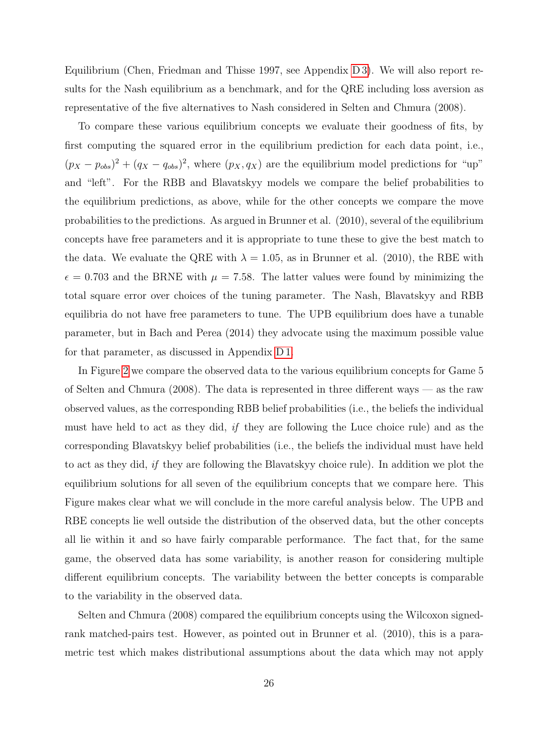Equilibrium (Chen, Friedman and Thisse 1997, see Appendix [D 3\)](#page-48-0). We will also report results for the Nash equilibrium as a benchmark, and for the QRE including loss aversion as representative of the five alternatives to Nash considered in Selten and Chmura (2008).

To compare these various equilibrium concepts we evaluate their goodness of fits, by first computing the squared error in the equilibrium prediction for each data point, i.e.,  $(p_X - p_{obs})^2 + (q_X - q_{obs})^2$ , where  $(p_X, q_X)$  are the equilibrium model predictions for "up" and "left". For the RBB and Blavatskyy models we compare the belief probabilities to the equilibrium predictions, as above, while for the other concepts we compare the move probabilities to the predictions. As argued in Brunner et al. (2010), several of the equilibrium concepts have free parameters and it is appropriate to tune these to give the best match to the data. We evaluate the QRE with  $\lambda = 1.05$ , as in Brunner et al. (2010), the RBE with  $\epsilon = 0.703$  and the BRNE with  $\mu = 7.58$ . The latter values were found by minimizing the total square error over choices of the tuning parameter. The Nash, Blavatskyy and RBB equilibria do not have free parameters to tune. The UPB equilibrium does have a tunable parameter, but in Bach and Perea (2014) they advocate using the maximum possible value for that parameter, as discussed in Appendix [D 1.](#page-44-0)

In Figure [2](#page-27-0) we compare the observed data to the various equilibrium concepts for Game 5 of Selten and Chmura (2008). The data is represented in three different ways — as the raw observed values, as the corresponding RBB belief probabilities (i.e., the beliefs the individual must have held to act as they did, if they are following the Luce choice rule) and as the corresponding Blavatskyy belief probabilities (i.e., the beliefs the individual must have held to act as they did, if they are following the Blavatskyy choice rule). In addition we plot the equilibrium solutions for all seven of the equilibrium concepts that we compare here. This Figure makes clear what we will conclude in the more careful analysis below. The UPB and RBE concepts lie well outside the distribution of the observed data, but the other concepts all lie within it and so have fairly comparable performance. The fact that, for the same game, the observed data has some variability, is another reason for considering multiple different equilibrium concepts. The variability between the better concepts is comparable to the variability in the observed data.

Selten and Chmura (2008) compared the equilibrium concepts using the Wilcoxon signedrank matched-pairs test. However, as pointed out in Brunner et al. (2010), this is a parametric test which makes distributional assumptions about the data which may not apply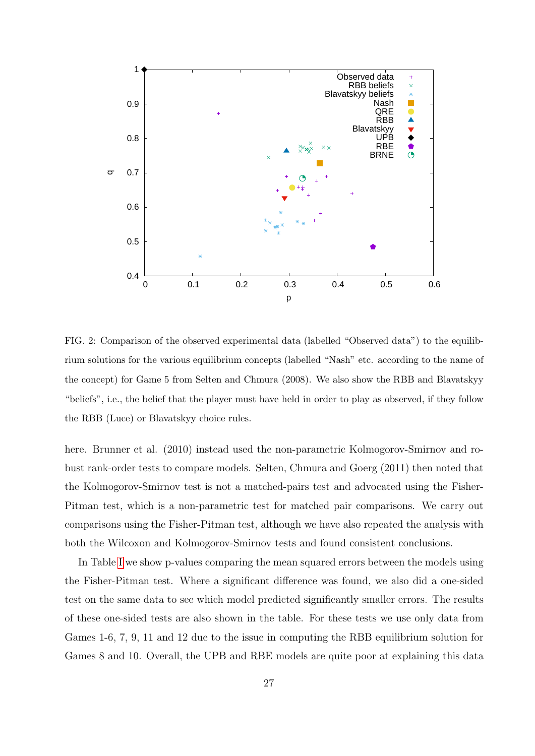

<span id="page-27-0"></span>FIG. 2: Comparison of the observed experimental data (labelled "Observed data") to the equilibrium solutions for the various equilibrium concepts (labelled "Nash" etc. according to the name of the concept) for Game 5 from Selten and Chmura (2008). We also show the RBB and Blavatskyy "beliefs", i.e., the belief that the player must have held in order to play as observed, if they follow the RBB (Luce) or Blavatskyy choice rules.

here. Brunner et al. (2010) instead used the non-parametric Kolmogorov-Smirnov and robust rank-order tests to compare models. Selten, Chmura and Goerg (2011) then noted that the Kolmogorov-Smirnov test is not a matched-pairs test and advocated using the Fisher-Pitman test, which is a non-parametric test for matched pair comparisons. We carry out comparisons using the Fisher-Pitman test, although we have also repeated the analysis with both the Wilcoxon and Kolmogorov-Smirnov tests and found consistent conclusions.

In Table [I](#page-29-0) we show p-values comparing the mean squared errors between the models using the Fisher-Pitman test. Where a significant difference was found, we also did a one-sided test on the same data to see which model predicted significantly smaller errors. The results of these one-sided tests are also shown in the table. For these tests we use only data from Games 1-6, 7, 9, 11 and 12 due to the issue in computing the RBB equilibrium solution for Games 8 and 10. Overall, the UPB and RBE models are quite poor at explaining this data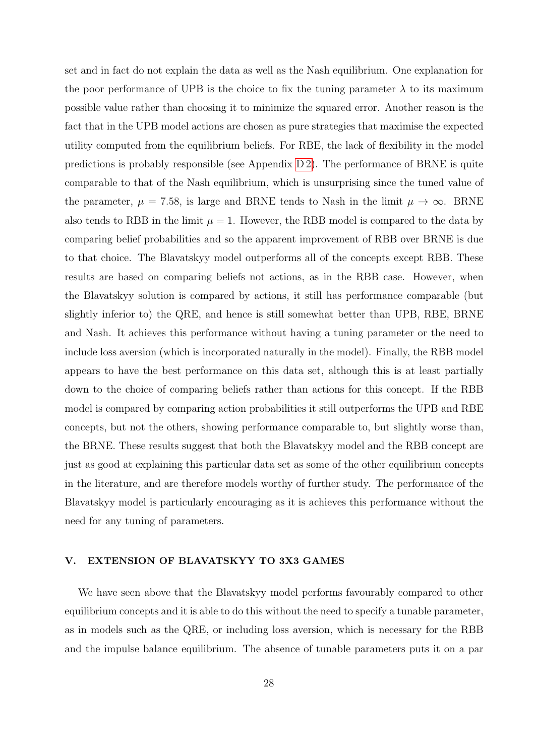set and in fact do not explain the data as well as the Nash equilibrium. One explanation for the poor performance of UPB is the choice to fix the tuning parameter  $\lambda$  to its maximum possible value rather than choosing it to minimize the squared error. Another reason is the fact that in the UPB model actions are chosen as pure strategies that maximise the expected utility computed from the equilibrium beliefs. For RBE, the lack of flexibility in the model predictions is probably responsible (see Appendix [D 2\)](#page-46-0). The performance of BRNE is quite comparable to that of the Nash equilibrium, which is unsurprising since the tuned value of the parameter,  $\mu = 7.58$ , is large and BRNE tends to Nash in the limit  $\mu \to \infty$ . BRNE also tends to RBB in the limit  $\mu = 1$ . However, the RBB model is compared to the data by comparing belief probabilities and so the apparent improvement of RBB over BRNE is due to that choice. The Blavatskyy model outperforms all of the concepts except RBB. These results are based on comparing beliefs not actions, as in the RBB case. However, when the Blavatskyy solution is compared by actions, it still has performance comparable (but slightly inferior to) the QRE, and hence is still somewhat better than UPB, RBE, BRNE and Nash. It achieves this performance without having a tuning parameter or the need to include loss aversion (which is incorporated naturally in the model). Finally, the RBB model appears to have the best performance on this data set, although this is at least partially down to the choice of comparing beliefs rather than actions for this concept. If the RBB model is compared by comparing action probabilities it still outperforms the UPB and RBE concepts, but not the others, showing performance comparable to, but slightly worse than, the BRNE. These results suggest that both the Blavatskyy model and the RBB concept are just as good at explaining this particular data set as some of the other equilibrium concepts in the literature, and are therefore models worthy of further study. The performance of the Blavatskyy model is particularly encouraging as it is achieves this performance without the need for any tuning of parameters.

#### <span id="page-28-0"></span>V. EXTENSION OF BLAVATSKYY TO 3X3 GAMES

We have seen above that the Blavatskyy model performs favourably compared to other equilibrium concepts and it is able to do this without the need to specify a tunable parameter, as in models such as the QRE, or including loss aversion, which is necessary for the RBB and the impulse balance equilibrium. The absence of tunable parameters puts it on a par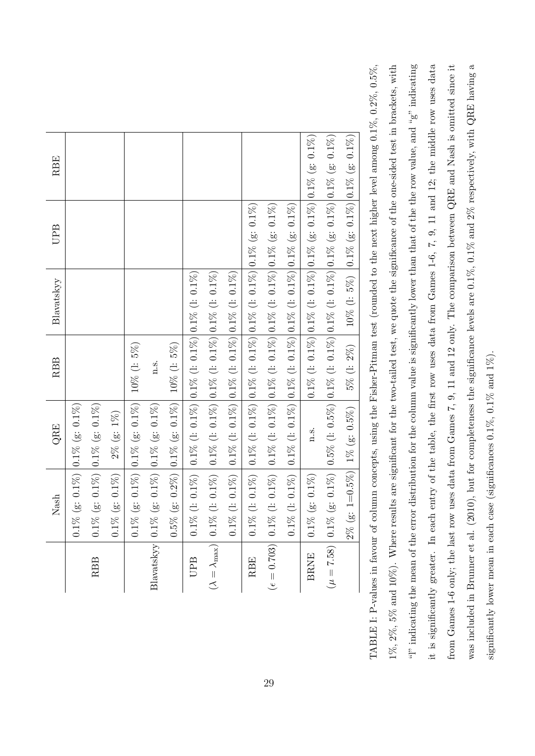|                              | Nash                                                   | QRE                                                                                                                                          | <b>RBB</b>  | Blavatskyy | UPB                                                                                                        | RBE     |
|------------------------------|--------------------------------------------------------|----------------------------------------------------------------------------------------------------------------------------------------------|-------------|------------|------------------------------------------------------------------------------------------------------------|---------|
|                              | $0.1\%$ (g: $0.1\%$ ) $ 0.1\%$ (g: $0.1\%$ )           |                                                                                                                                              |             |            |                                                                                                            |         |
| <b>RBB</b>                   | $0.1\%$ (g: $0.1\%$ ) $ 0.1\%$ (g: $0.1\%$ )           |                                                                                                                                              |             |            |                                                                                                            |         |
|                              | $0.1\%$ (g: $0.1\%$                                    | $2\%$ (g: $1\%$ )                                                                                                                            |             |            |                                                                                                            |         |
|                              |                                                        | $0.1\%$ (g: $0.1\%$ ) $\vert 0.1\%$ (g: $0.1\%$ )                                                                                            | 10% (1: 5%) |            |                                                                                                            |         |
|                              | Blavatskyy $0.1\%$ (g: $0.1\%$ ) $0.1\%$ (g: $0.1\%$ ) |                                                                                                                                              | 1.5.        |            |                                                                                                            |         |
|                              |                                                        | $0.5\%$ (g: 0.2%) $\vert 0.1\%$ (g: 0.1%) 10% (l: 5%)                                                                                        |             |            |                                                                                                            |         |
| UPB                          |                                                        | $0.1\%$ (1: $0.1\%$ ) $0.1\%$ (1: $0.1\%$ ) $0.1\%$ (1: $0.1\%$ ) $0.1\%$ (1: $0.1\%$ )                                                      |             |            |                                                                                                            |         |
| $(\lambda = \lambda_{\max})$ |                                                        | 0.1% (1: 0.1%) $\Big  0.1\% \Big  1$ . 0.1%) $\Big  0.1\% \Big  1$ . 0.1%) $\Big  0.1\% \Big  0.1\% \Big  1$ . 0.1%)                         |             |            |                                                                                                            |         |
|                              |                                                        | $0.1\%$ (1: $0.1\%$ ) $0.1\%$ (1: $0.1\%$ ) $0.1\%$ (1: $0.1\%$ ) $0.1\%$ (1: $0.1\%$ ) (1: $0.1\%$ )                                        |             |            |                                                                                                            |         |
| <b>RBE</b>                   |                                                        | $0.1\%$ (1: $0.1\%$ ) $0.1\%$ (1: $0.1\%$ ) $0.1\%$ (1: $0.1\%$ ) $0.1\%$ (1: $0.1\%$ (g: $0.1\%$ ) $0.1\%$                                  |             |            |                                                                                                            |         |
| $(\epsilon = 0.703)$         |                                                        | $0.1\%\ (l:~0.1\%)~\left  0.1\%\ (l:~0.1\%) \right  0.1\%\ (l:~0.1\%) \left  0.1\%\ (l:~0.1\%) \right  0.1\%\ (g:~0.1\%)$                    |             |            |                                                                                                            |         |
|                              | $0.1\%$ (l: $0.1\%$ )                                  | $\left  0.1\% \right. (l: 0.1\%) \left  0.1\% \right. (l: 0.1\%) \left  0.1\% \right. (l: 0.1\%) \left  0.1\% \right. (g: 0.1\%)$            |             |            |                                                                                                            |         |
| <b>BRNE</b>                  | $0.1\%$ (g: 0.1%)                                      | $n_{\cdot}$ S.                                                                                                                               |             |            | $0.1\%$ (1: $0.1\%$ ) $\Big 0.1\%$ (1: $0.1\%$ ) $\Big 0.1\%$ (g: $0.1\%$ ) $\Big 0.1\%$ (g: $0.1\%$ )<br> |         |
|                              |                                                        | $(\mu = 7.58)$   $0.1\%$ (g: $0.1\%$   $0.5\%$ (l: $0.5\%$ )   $0.1\%$ (l: $0.1\%$ (l: $0.1\%$   $0.1\%$ (g: $0.1\%$   $0.1\%$ (g: $0.1\%$ ) |             |            |                                                                                                            |         |
|                              | $(g: 1=0.5\%)$<br>$2\%$                                | $1\%$ (g: 0.5%)                                                                                                                              | 5% (l: 2%)  |            | 10% (1: 5%) $\vert 0.1\%$ (g: 0.1%) $\vert 0.1\%$ (g:                                                      | $0.1\%$ |

<span id="page-29-0"></span>it is significantly greater. In each entry of the table, the first row uses data from Games 1-6, 7, 9, 11 and 12; the middle row uses data was included in Brunner et al. (2010), but for completeness the significance levels are 0.1%, 0.1% and 2% respectively, with QRE having a was included in Brunner et al. (2010), but for completeness the significance levels are 0.1%, 0.1% and 2% respectively, with QRE having a TABLE I: P-values in favour of column concepts, using the Fisher-Pitman test (rounded to the next higher level among  $0.1\%, 0.2\%, 0.5\%,$  $(%2, 8, 5)$  and  $10\%$ ). Where results are significant for the two-tailed test, we quote the significance of the one-sided test in brackets, with "<sup>"</sup> indicating the mean of the error distribution for the column value is significantly lower than that of the the row value, and " $g$ " indicating from Games 1-6 only; the last row uses data from Games 7, 9, 11 and 12 only. The comparison between QRE and Nash is omitted since it from Games 1-6 only; the last row uses data from Games 7, 9, 11 and 12 only. The comparison between QRE and Nash is omitted since it TABLE I: P-values in favour of column concepts, using the Fisher-Pitman test (rounded to the next higher level among 0.1%, 0.2%, 0.5%, 1%, 2%, 5% and 10%). Where results are significant for the two-tailed test, we quote the significance of the one-sided test in brackets, with "." indicating the mean of the error distribution for the column value is significantly lower than that of the the row value, and "g" indicating it is significantly greater. In each entry of the table, the first row uses data from Games 1-6, 7, 9, 11 and 12; the middle row uses data significantly lower mean in each case (significances  $0.1\%,\,0.1\%$  and  $1\%).$ significantly lower mean in each case (significances 0.1%, 0.1% and 1%).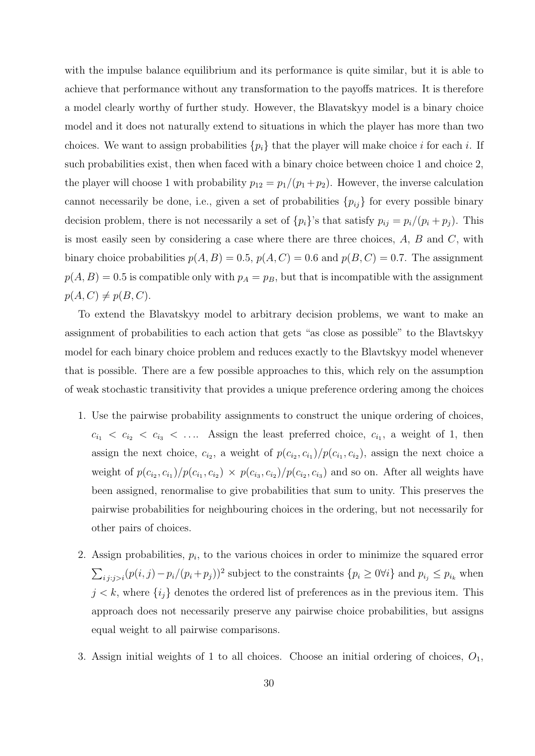with the impulse balance equilibrium and its performance is quite similar, but it is able to achieve that performance without any transformation to the payoffs matrices. It is therefore a model clearly worthy of further study. However, the Blavatskyy model is a binary choice model and it does not naturally extend to situations in which the player has more than two choices. We want to assign probabilities  $\{p_i\}$  that the player will make choice i for each i. If such probabilities exist, then when faced with a binary choice between choice 1 and choice 2, the player will choose 1 with probability  $p_{12} = p_1/(p_1 + p_2)$ . However, the inverse calculation cannot necessarily be done, i.e., given a set of probabilities  $\{p_{ij}\}\$ for every possible binary decision problem, there is not necessarily a set of  $\{p_i\}$ 's that satisfy  $p_{ij} = p_i/(p_i + p_j)$ . This is most easily seen by considering a case where there are three choices,  $A$ ,  $B$  and  $C$ , with binary choice probabilities  $p(A, B) = 0.5$ ,  $p(A, C) = 0.6$  and  $p(B, C) = 0.7$ . The assignment  $p(A, B) = 0.5$  is compatible only with  $p_A = p_B$ , but that is incompatible with the assignment  $p(A, C) \neq p(B, C).$ 

To extend the Blavatskyy model to arbitrary decision problems, we want to make an assignment of probabilities to each action that gets "as close as possible" to the Blavtskyy model for each binary choice problem and reduces exactly to the Blavtskyy model whenever that is possible. There are a few possible approaches to this, which rely on the assumption of weak stochastic transitivity that provides a unique preference ordering among the choices

- 1. Use the pairwise probability assignments to construct the unique ordering of choices,  $c_{i_1} < c_{i_2} < c_{i_3} < \ldots$  Assign the least preferred choice,  $c_{i_1}$ , a weight of 1, then assign the next choice,  $c_{i_2}$ , a weight of  $p(c_{i_2}, c_{i_1})/p(c_{i_1}, c_{i_2})$ , assign the next choice a weight of  $p(c_{i_2}, c_{i_1})/p(c_{i_1}, c_{i_2}) \times p(c_{i_3}, c_{i_2})/p(c_{i_2}, c_{i_3})$  and so on. After all weights have been assigned, renormalise to give probabilities that sum to unity. This preserves the pairwise probabilities for neighbouring choices in the ordering, but not necessarily for other pairs of choices.
- 2. Assign probabilities,  $p_i$ , to the various choices in order to minimize the squared error  $\sum_{i,j:j>i}(p(i,j)-p_i/(p_i+p_j))^2$  subject to the constraints  $\{p_i \geq 0 \forall i\}$  and  $p_{i_j} \leq p_{i_k}$  when  $j < k$ , where  $\{i_j\}$  denotes the ordered list of preferences as in the previous item. This approach does not necessarily preserve any pairwise choice probabilities, but assigns equal weight to all pairwise comparisons.
- 3. Assign initial weights of 1 to all choices. Choose an initial ordering of choices,  $O_1$ ,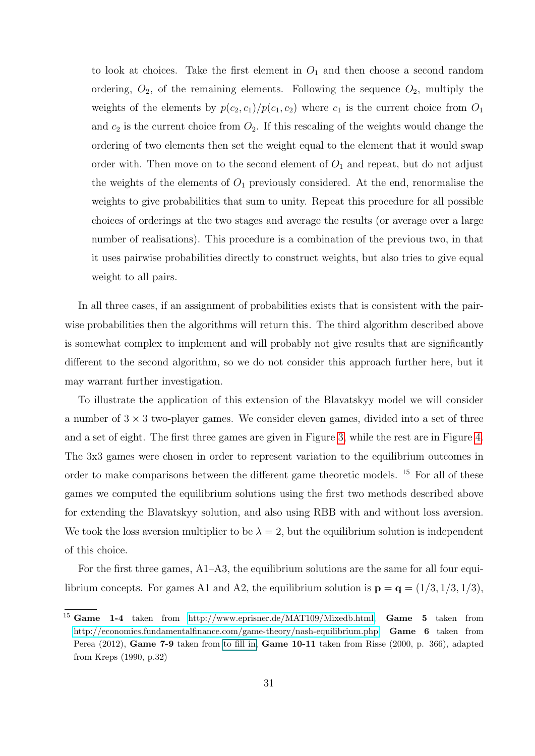to look at choices. Take the first element in  $O_1$  and then choose a second random ordering,  $O_2$ , of the remaining elements. Following the sequence  $O_2$ , multiply the weights of the elements by  $p(c_2, c_1)/p(c_1, c_2)$  where  $c_1$  is the current choice from  $O_1$ and  $c_2$  is the current choice from  $O_2$ . If this rescaling of the weights would change the ordering of two elements then set the weight equal to the element that it would swap order with. Then move on to the second element of  $O_1$  and repeat, but do not adjust the weights of the elements of  $O_1$  previously considered. At the end, renormalise the weights to give probabilities that sum to unity. Repeat this procedure for all possible choices of orderings at the two stages and average the results (or average over a large number of realisations). This procedure is a combination of the previous two, in that it uses pairwise probabilities directly to construct weights, but also tries to give equal weight to all pairs.

In all three cases, if an assignment of probabilities exists that is consistent with the pairwise probabilities then the algorithms will return this. The third algorithm described above is somewhat complex to implement and will probably not give results that are significantly different to the second algorithm, so we do not consider this approach further here, but it may warrant further investigation.

To illustrate the application of this extension of the Blavatskyy model we will consider a number of  $3 \times 3$  two-player games. We consider eleven games, divided into a set of three and a set of eight. The first three games are given in Figure [3,](#page-32-1) while the rest are in Figure [4.](#page-33-0) The 3x3 games were chosen in order to represent variation to the equilibrium outcomes in order to make comparisons between the different game theoretic models. <sup>15</sup> For all of these games we computed the equilibrium solutions using the first two methods described above for extending the Blavatskyy solution, and also using RBB with and without loss aversion. We took the loss aversion multiplier to be  $\lambda = 2$ , but the equilibrium solution is independent of this choice.

For the first three games, A1–A3, the equilibrium solutions are the same for all four equilibrium concepts. For games A1 and A2, the equilibrium solution is  $\mathbf{p} = \mathbf{q} = (1/3, 1/3, 1/3)$ ,

<sup>&</sup>lt;sup>15</sup> Game 1-4 taken from [http://www.eprisner.de/MAT109/Mixedb.html,](http://www.eprisner.de/MAT109/Mixedb.html) Game 5 taken from [http://economics.fundamentalfinance.com/game-theory/nash-equilibrium.php,](http://economics.fundamentalfinance.com/game-theory/nash-equilibrium.php) Game 6 taken from Perea (2012), Game 7-9 taken from [to fill in,](#page-0-0) Game 10-11 taken from Risse (2000, p. 366), adapted from Kreps (1990, p.32)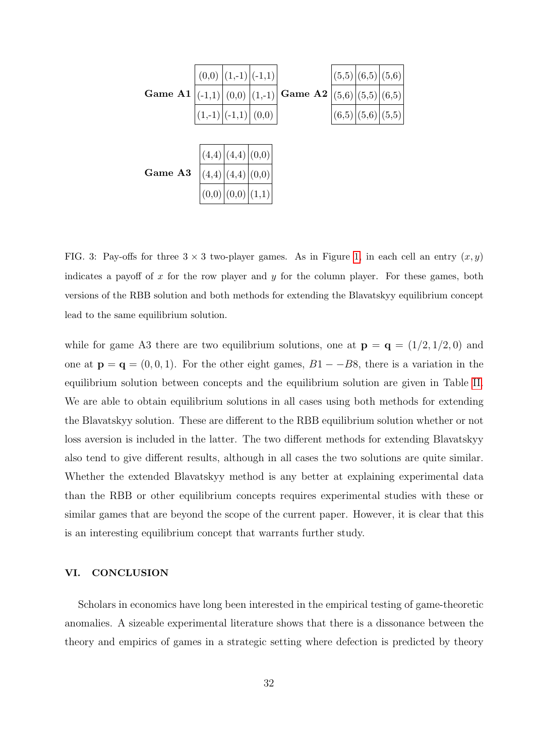

<span id="page-32-1"></span>FIG. 3: Pay-offs for three  $3 \times 3$  two-player games. As in Figure [1,](#page-24-0) in each cell an entry  $(x, y)$ indicates a payoff of  $x$  for the row player and  $y$  for the column player. For these games, both versions of the RBB solution and both methods for extending the Blavatskyy equilibrium concept lead to the same equilibrium solution.

while for game A3 there are two equilibrium solutions, one at  $\mathbf{p} = \mathbf{q} = (1/2, 1/2, 0)$  and one at  $\mathbf{p} = \mathbf{q} = (0, 0, 1)$ . For the other eight games,  $B1 - -B8$ , there is a variation in the equilibrium solution between concepts and the equilibrium solution are given in Table [II.](#page-34-0) We are able to obtain equilibrium solutions in all cases using both methods for extending the Blavatskyy solution. These are different to the RBB equilibrium solution whether or not loss aversion is included in the latter. The two different methods for extending Blavatskyy also tend to give different results, although in all cases the two solutions are quite similar. Whether the extended Blavatskyy method is any better at explaining experimental data than the RBB or other equilibrium concepts requires experimental studies with these or similar games that are beyond the scope of the current paper. However, it is clear that this is an interesting equilibrium concept that warrants further study.

#### <span id="page-32-0"></span>VI. CONCLUSION

Scholars in economics have long been interested in the empirical testing of game-theoretic anomalies. A sizeable experimental literature shows that there is a dissonance between the theory and empirics of games in a strategic setting where defection is predicted by theory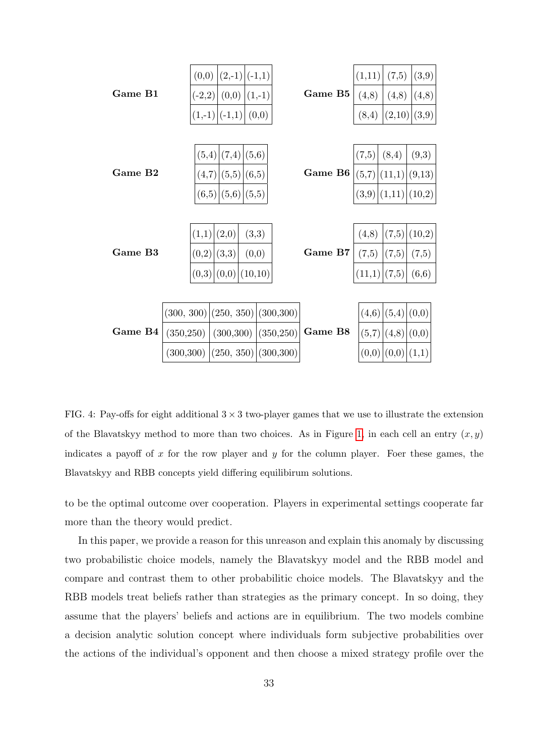|         | (0,0)      | $(2,-1) (-1,1)$         |         |                         |         | (1,11) | (7,5)  | (3,9)             |
|---------|------------|-------------------------|---------|-------------------------|---------|--------|--------|-------------------|
| Game B1 | $(-2,2)$   | (0,0)                   |         | $(1,-1)$                | Game B5 | (4,8)  | (4,8)  | (4,8)             |
|         |            | $(1,-1) (-1,1)$         |         | (0,0)                   |         | (8,4)  | (2,10) | (3,9)             |
|         |            |                         |         |                         |         |        |        |                   |
| Game B2 |            | (5,6)<br>(5,4)<br>(7,4) |         |                         | (7,5)   | (8,4)  | (9,3)  |                   |
|         | (4,7)      | (5,5)                   | (6,5)   |                         | Game B6 |        | (11,1) | (9,13)            |
|         | (6,5)      | (5,6)                   | (5,5)   |                         |         | (3,9)  |        | $(1,11)$ $(10,2)$ |
|         |            |                         |         |                         |         |        |        |                   |
| Game B3 |            | (1,1)<br>(2,0)<br>(3,3) |         |                         | (4,8)   | (7,5)  | (10,2) |                   |
|         | (0,2)      | (3,3)                   | (0,0)   |                         | Game B7 |        | (7,5)  | (7,5)             |
|         | (0,3)      | (0,0)                   | (10,10) |                         |         |        | (7,5)  | (6, 6)            |
|         |            |                         |         |                         |         |        |        |                   |
|         | (300, 300) |                         |         | (250, 350)   (300, 300) |         | (4,6)  | (5,4)  | (0,0)             |
| Game B4 | (350, 250) | (300, 300)              |         | (350, 250)              | Game B8 | (5,7)  | (4,8)  | (0,0)             |
|         | (300, 300) |                         |         | $(250, 350)$ (300,300)  |         | (0,0)  | (0,0)  | (1,1)             |

<span id="page-33-0"></span>FIG. 4: Pay-offs for eight additional  $3 \times 3$  two-player games that we use to illustrate the extension of the Blavatskyy method to more than two choices. As in Figure [1,](#page-24-0) in each cell an entry  $(x, y)$ indicates a payoff of  $x$  for the row player and  $y$  for the column player. Foer these games, the Blavatskyy and RBB concepts yield differing equilibirum solutions.

to be the optimal outcome over cooperation. Players in experimental settings cooperate far more than the theory would predict.

In this paper, we provide a reason for this unreason and explain this anomaly by discussing two probabilistic choice models, namely the Blavatskyy model and the RBB model and compare and contrast them to other probabilitic choice models. The Blavatskyy and the RBB models treat beliefs rather than strategies as the primary concept. In so doing, they assume that the players' beliefs and actions are in equilibrium. The two models combine a decision analytic solution concept where individuals form subjective probabilities over the actions of the individual's opponent and then choose a mixed strategy profile over the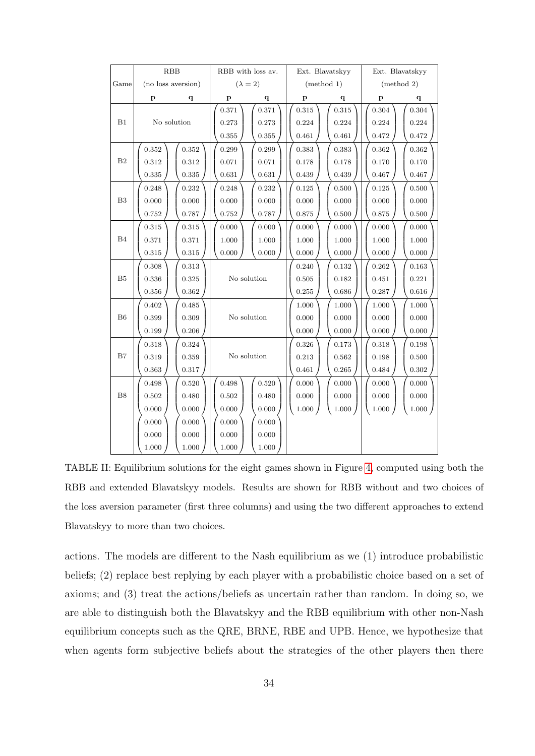|                   |                                       | RBB         | RBB with loss av. |       | Ext. Blavatskyy |             | Ext. Blavatskyy |           |
|-------------------|---------------------------------------|-------------|-------------------|-------|-----------------|-------------|-----------------|-----------|
| Game              | $(\lambda = 2)$<br>(no loss aversion) |             | (method 1)        |       | (method 2)      |             |                 |           |
|                   | p                                     | q           | p<br>q            |       | $\mathbf{p}$    | q           | p               | q         |
|                   |                                       |             | 0.371             | 0.371 | 0.315           | 0.315       | 0.304           | $0.304\,$ |
| B1<br>No solution |                                       | 0.273       | 0.273             | 0.224 | 0.224           | 0.224       | 0.224           |           |
|                   |                                       |             | 0.355             | 0.355 | 0.461           | 0.461       | 0.472           | 0.472     |
|                   | 0.352                                 | 0.352       | 0.299             | 0.299 | 0.383           | 0.383       | 0.362           | 0.362     |
| B <sub>2</sub>    | 0.312                                 | 0.312       | 0.071             | 0.071 | 0.178           | 0.178       | 0.170           | 0.170     |
|                   | 0.335                                 | $\rm 0.335$ | 0.631             | 0.631 | 0.439           | 0.439       | 0.467           | 0.467     |
|                   | 0.248                                 | 0.232       | 0.248             | 0.232 | 0.125           | 0.500       | 0.125           | 0.500     |
| B <sub>3</sub>    | 0.000                                 | 0.000       | 0.000             | 0.000 | 0.000           | 0.000       | 0.000           | 0.000     |
|                   | 0.752                                 | 0.787       | 0.752             | 0.787 | 0.875           | 0.500       | 0.875           | 0.500     |
|                   | 0.315                                 | 0.315       | 0.000             | 0.000 | 0.000           | 0.000       | 0.000           | 0.000     |
| B4                | 0.371                                 | 0.371       | 1.000             | 1.000 | 1.000           | 1.000       | 1.000           | 1.000     |
|                   | 0.315                                 | 0.315       | 0.000             | 0.000 | 0.000           | 0.000       | 0.000           | 0.000     |
|                   | 0.308                                 | 0.313       |                   |       | 0.240           | 0.132       | 0.262           | 0.163     |
| B <sub>5</sub>    | 0.336                                 | 0.325       | No solution       |       | 0.505           | 0.182       | 0.451           | 0.221     |
|                   | 0.356                                 | 0.362       |                   |       | 0.255           | $\,0.686\,$ | 0.287           | 0.616     |
|                   | 0.402                                 | $\,0.485\,$ |                   |       | 1.000           | 1.000       | 1.000           | 1.000     |
| B6                | 0.399                                 | 0.309       | No solution       |       | 0.000           | 0.000       | 0.000           | 0.000     |
|                   | 0.199                                 | 0.206       |                   |       | 0.000           | 0.000       | 0.000           | 0.000     |
|                   | 0.318                                 | 0.324       |                   |       | 0.326           | 0.173       | 0.318           | 0.198     |
| B7                | 0.319                                 | 0.359       | No solution       |       | 0.213           | 0.562       | 0.198           | 0.500     |
|                   | 0.363                                 | 0.317       |                   |       | 0.461           | 0.265       | 0.484           | 0.302     |
|                   | 0.498                                 | 0.520       | 0.498<br>0.520    |       | 0.000           | 0.000       | 0.000           | 0.000     |
| B <sub>8</sub>    | 0.502                                 | 0.480       | 0.502             | 0.480 | 0.000           | 0.000       | 0.000           | 0.000     |
|                   | 0.000                                 | 0.000       | 0.000             | 0.000 | $1.000\,$       | 1.000)      | $1.000\,$       | 1.000     |
|                   | 0.000                                 | 0.000       | 0.000             | 0.000 |                 |             |                 |           |
|                   | 0.000                                 | 0.000       | 0.000             | 0.000 |                 |             |                 |           |
|                   | 1.000                                 | 1.000       | 1.000             | 1.000 |                 |             |                 |           |

<span id="page-34-0"></span>TABLE II: Equilibrium solutions for the eight games shown in Figure [4,](#page-33-0) computed using both the RBB and extended Blavatskyy models. Results are shown for RBB without and two choices of the loss aversion parameter (first three columns) and using the two different approaches to extend Blavatskyy to more than two choices.

actions. The models are different to the Nash equilibrium as we (1) introduce probabilistic beliefs; (2) replace best replying by each player with a probabilistic choice based on a set of axioms; and (3) treat the actions/beliefs as uncertain rather than random. In doing so, we are able to distinguish both the Blavatskyy and the RBB equilibrium with other non-Nash equilibrium concepts such as the QRE, BRNE, RBE and UPB. Hence, we hypothesize that when agents form subjective beliefs about the strategies of the other players then there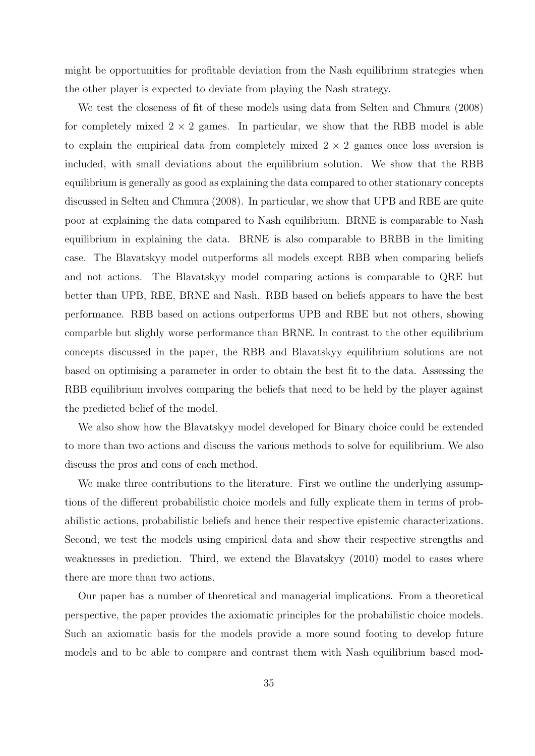might be opportunities for profitable deviation from the Nash equilibrium strategies when the other player is expected to deviate from playing the Nash strategy.

We test the closeness of fit of these models using data from Selten and Chmura (2008) for completely mixed  $2 \times 2$  games. In particular, we show that the RBB model is able to explain the empirical data from completely mixed  $2 \times 2$  games once loss aversion is included, with small deviations about the equilibrium solution. We show that the RBB equilibrium is generally as good as explaining the data compared to other stationary concepts discussed in Selten and Chmura (2008). In particular, we show that UPB and RBE are quite poor at explaining the data compared to Nash equilibrium. BRNE is comparable to Nash equilibrium in explaining the data. BRNE is also comparable to BRBB in the limiting case. The Blavatskyy model outperforms all models except RBB when comparing beliefs and not actions. The Blavatskyy model comparing actions is comparable to QRE but better than UPB, RBE, BRNE and Nash. RBB based on beliefs appears to have the best performance. RBB based on actions outperforms UPB and RBE but not others, showing comparble but slighly worse performance than BRNE. In contrast to the other equilibrium concepts discussed in the paper, the RBB and Blavatskyy equilibrium solutions are not based on optimising a parameter in order to obtain the best fit to the data. Assessing the RBB equilibrium involves comparing the beliefs that need to be held by the player against the predicted belief of the model.

We also show how the Blavatskyy model developed for Binary choice could be extended to more than two actions and discuss the various methods to solve for equilibrium. We also discuss the pros and cons of each method.

We make three contributions to the literature. First we outline the underlying assumptions of the different probabilistic choice models and fully explicate them in terms of probabilistic actions, probabilistic beliefs and hence their respective epistemic characterizations. Second, we test the models using empirical data and show their respective strengths and weaknesses in prediction. Third, we extend the Blavatskyy (2010) model to cases where there are more than two actions.

Our paper has a number of theoretical and managerial implications. From a theoretical perspective, the paper provides the axiomatic principles for the probabilistic choice models. Such an axiomatic basis for the models provide a more sound footing to develop future models and to be able to compare and contrast them with Nash equilibrium based mod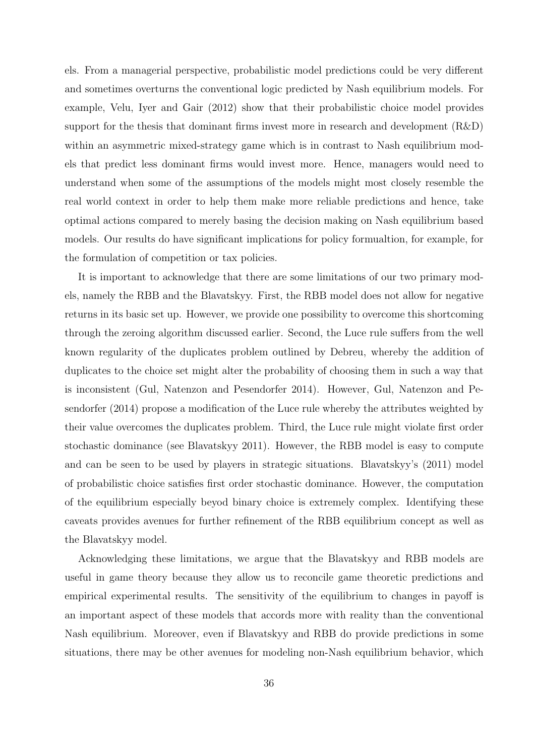els. From a managerial perspective, probabilistic model predictions could be very different and sometimes overturns the conventional logic predicted by Nash equilibrium models. For example, Velu, Iyer and Gair (2012) show that their probabilistic choice model provides support for the thesis that dominant firms invest more in research and development  $(R&D)$ within an asymmetric mixed-strategy game which is in contrast to Nash equilibrium models that predict less dominant firms would invest more. Hence, managers would need to understand when some of the assumptions of the models might most closely resemble the real world context in order to help them make more reliable predictions and hence, take optimal actions compared to merely basing the decision making on Nash equilibrium based models. Our results do have significant implications for policy formualtion, for example, for the formulation of competition or tax policies.

It is important to acknowledge that there are some limitations of our two primary models, namely the RBB and the Blavatskyy. First, the RBB model does not allow for negative returns in its basic set up. However, we provide one possibility to overcome this shortcoming through the zeroing algorithm discussed earlier. Second, the Luce rule suffers from the well known regularity of the duplicates problem outlined by Debreu, whereby the addition of duplicates to the choice set might alter the probability of choosing them in such a way that is inconsistent (Gul, Natenzon and Pesendorfer 2014). However, Gul, Natenzon and Pesendorfer (2014) propose a modification of the Luce rule whereby the attributes weighted by their value overcomes the duplicates problem. Third, the Luce rule might violate first order stochastic dominance (see Blavatskyy 2011). However, the RBB model is easy to compute and can be seen to be used by players in strategic situations. Blavatskyy's (2011) model of probabilistic choice satisfies first order stochastic dominance. However, the computation of the equilibrium especially beyod binary choice is extremely complex. Identifying these caveats provides avenues for further refinement of the RBB equilibrium concept as well as the Blavatskyy model.

Acknowledging these limitations, we argue that the Blavatskyy and RBB models are useful in game theory because they allow us to reconcile game theoretic predictions and empirical experimental results. The sensitivity of the equilibrium to changes in payoff is an important aspect of these models that accords more with reality than the conventional Nash equilibrium. Moreover, even if Blavatskyy and RBB do provide predictions in some situations, there may be other avenues for modeling non-Nash equilibrium behavior, which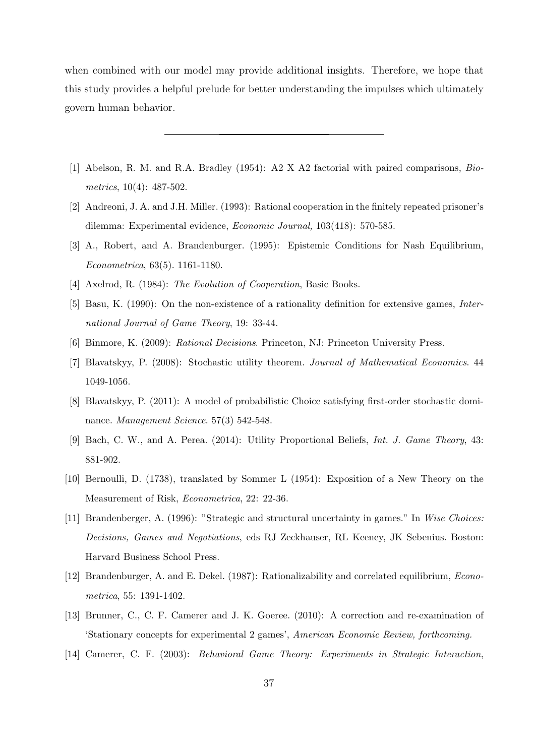when combined with our model may provide additional insights. Therefore, we hope that this study provides a helpful prelude for better understanding the impulses which ultimately govern human behavior.

- [1] Abelson, R. M. and R.A. Bradley (1954): A2 X A2 factorial with paired comparisons, Biometrics, 10(4): 487-502.
- [2] Andreoni, J. A. and J.H. Miller. (1993): Rational cooperation in the finitely repeated prisoner's dilemma: Experimental evidence, Economic Journal, 103(418): 570-585.
- [3] A., Robert, and A. Brandenburger. (1995): Epistemic Conditions for Nash Equilibrium, Econometrica, 63(5). 1161-1180.
- [4] Axelrod, R. (1984): *The Evolution of Cooperation*, Basic Books.
- [5] Basu, K. (1990): On the non-existence of a rationality definition for extensive games, International Journal of Game Theory, 19: 33-44.
- [6] Binmore, K. (2009): Rational Decisions. Princeton, NJ: Princeton University Press.
- [7] Blavatskyy, P. (2008): Stochastic utility theorem. Journal of Mathematical Economics. 44 1049-1056.
- [8] Blavatskyy, P. (2011): A model of probabilistic Choice satisfying first-order stochastic dominance. *Management Science*. 57(3) 542-548.
- [9] Bach, C. W., and A. Perea. (2014): Utility Proportional Beliefs, Int. J. Game Theory, 43: 881-902.
- [10] Bernoulli, D. (1738), translated by Sommer L (1954): Exposition of a New Theory on the Measurement of Risk, Econometrica, 22: 22-36.
- [11] Brandenberger, A. (1996): "Strategic and structural uncertainty in games." In Wise Choices: Decisions, Games and Negotiations, eds RJ Zeckhauser, RL Keeney, JK Sebenius. Boston: Harvard Business School Press.
- [12] Brandenburger, A. and E. Dekel. (1987): Rationalizability and correlated equilibrium, Econometrica, 55: 1391-1402.
- [13] Brunner, C., C. F. Camerer and J. K. Goeree. (2010): A correction and re-examination of 'Stationary concepts for experimental 2 games', American Economic Review, forthcoming.
- [14] Camerer, C. F. (2003): Behavioral Game Theory: Experiments in Strategic Interaction,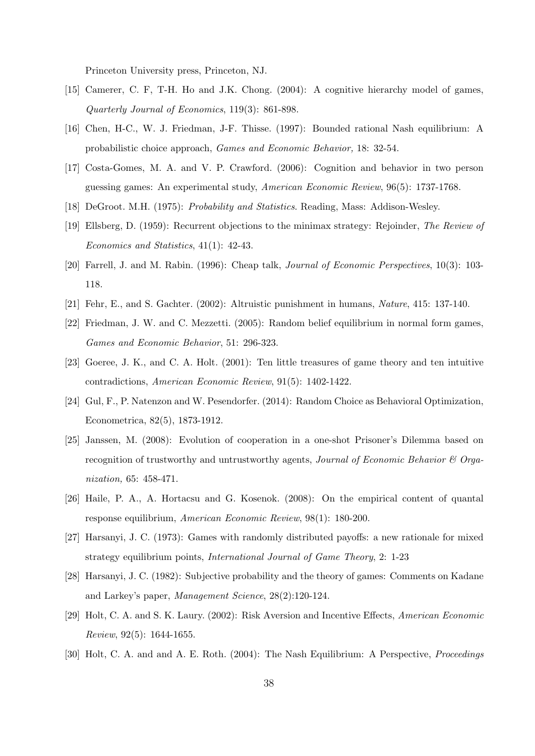Princeton University press, Princeton, NJ.

- [15] Camerer, C. F, T-H. Ho and J.K. Chong. (2004): A cognitive hierarchy model of games, Quarterly Journal of Economics, 119(3): 861-898.
- [16] Chen, H-C., W. J. Friedman, J-F. Thisse. (1997): Bounded rational Nash equilibrium: A probabilistic choice approach, Games and Economic Behavior, 18: 32-54.
- [17] Costa-Gomes, M. A. and V. P. Crawford. (2006): Cognition and behavior in two person guessing games: An experimental study, American Economic Review, 96(5): 1737-1768.
- [18] DeGroot. M.H. (1975): Probability and Statistics. Reading, Mass: Addison-Wesley.
- [19] Ellsberg, D. (1959): Recurrent objections to the minimax strategy: Rejoinder, The Review of Economics and Statistics, 41(1): 42-43.
- [20] Farrell, J. and M. Rabin. (1996): Cheap talk, Journal of Economic Perspectives, 10(3): 103- 118.
- [21] Fehr, E., and S. Gachter. (2002): Altruistic punishment in humans, Nature, 415: 137-140.
- [22] Friedman, J. W. and C. Mezzetti. (2005): Random belief equilibrium in normal form games, Games and Economic Behavior, 51: 296-323.
- [23] Goeree, J. K., and C. A. Holt. (2001): Ten little treasures of game theory and ten intuitive contradictions, American Economic Review, 91(5): 1402-1422.
- [24] Gul, F., P. Natenzon and W. Pesendorfer. (2014): Random Choice as Behavioral Optimization, Econometrica, 82(5), 1873-1912.
- [25] Janssen, M. (2008): Evolution of cooperation in a one-shot Prisoner's Dilemma based on recognition of trustworthy and untrustworthy agents, *Journal of Economic Behavior*  $\mathcal{C}$  Organization, 65: 458-471.
- [26] Haile, P. A., A. Hortacsu and G. Kosenok. (2008): On the empirical content of quantal response equilibrium, American Economic Review, 98(1): 180-200.
- [27] Harsanyi, J. C. (1973): Games with randomly distributed payoffs: a new rationale for mixed strategy equilibrium points, International Journal of Game Theory, 2: 1-23
- [28] Harsanyi, J. C. (1982): Subjective probability and the theory of games: Comments on Kadane and Larkey's paper, Management Science, 28(2):120-124.
- [29] Holt, C. A. and S. K. Laury. (2002): Risk Aversion and Incentive Effects, American Economic Review, 92(5): 1644-1655.
- [30] Holt, C. A. and and A. E. Roth. (2004): The Nash Equilibrium: A Perspective, Proceedings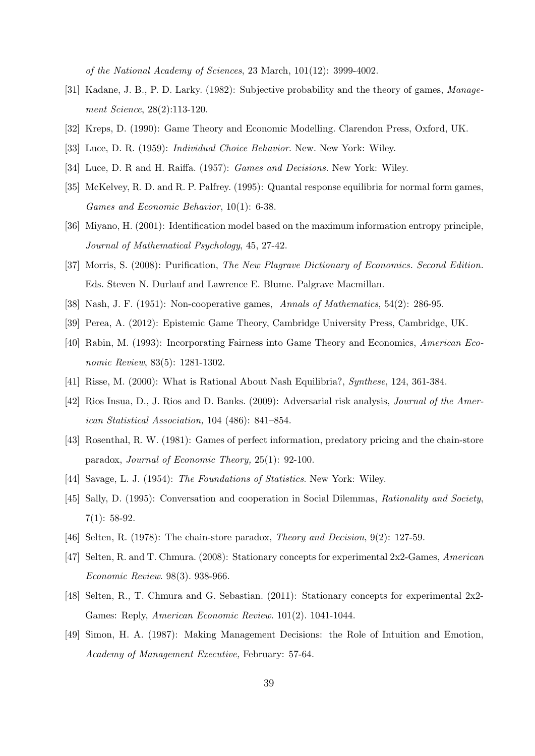of the National Academy of Sciences, 23 March, 101(12): 3999-4002.

- [31] Kadane, J. B., P. D. Larky. (1982): Subjective probability and the theory of games, Management Science, 28(2):113-120.
- [32] Kreps, D. (1990): Game Theory and Economic Modelling. Clarendon Press, Oxford, UK.
- [33] Luce, D. R. (1959): Individual Choice Behavior. New. New York: Wiley.
- [34] Luce, D. R and H. Raiffa. (1957): Games and Decisions. New York: Wiley.
- [35] McKelvey, R. D. and R. P. Palfrey. (1995): Quantal response equilibria for normal form games, Games and Economic Behavior, 10(1): 6-38.
- [36] Miyano, H. (2001): Identification model based on the maximum information entropy principle, Journal of Mathematical Psychology, 45, 27-42.
- [37] Morris, S. (2008): Purification, The New Plagrave Dictionary of Economics. Second Edition. Eds. Steven N. Durlauf and Lawrence E. Blume. Palgrave Macmillan.
- [38] Nash, J. F. (1951): Non-cooperative games, Annals of Mathematics, 54(2): 286-95.
- [39] Perea, A. (2012): Epistemic Game Theory, Cambridge University Press, Cambridge, UK.
- [40] Rabin, M. (1993): Incorporating Fairness into Game Theory and Economics, American Economic Review, 83(5): 1281-1302.
- [41] Risse, M. (2000): What is Rational About Nash Equilibria?, Synthese, 124, 361-384.
- [42] Rios Insua, D., J. Rios and D. Banks. (2009): Adversarial risk analysis, *Journal of the Amer*ican Statistical Association, 104 (486): 841–854.
- [43] Rosenthal, R. W. (1981): Games of perfect information, predatory pricing and the chain-store paradox, Journal of Economic Theory, 25(1): 92-100.
- [44] Savage, L. J. (1954): The Foundations of Statistics. New York: Wiley.
- [45] Sally, D. (1995): Conversation and cooperation in Social Dilemmas, Rationality and Society,  $7(1): 58-92.$
- [46] Selten, R. (1978): The chain-store paradox, *Theory and Decision*, 9(2): 127-59.
- [47] Selten, R. and T. Chmura. (2008): Stationary concepts for experimental 2x2-Games, American Economic Review. 98(3). 938-966.
- [48] Selten, R., T. Chmura and G. Sebastian. (2011): Stationary concepts for experimental 2x2- Games: Reply, American Economic Review. 101(2). 1041-1044.
- [49] Simon, H. A. (1987): Making Management Decisions: the Role of Intuition and Emotion, Academy of Management Executive, February: 57-64.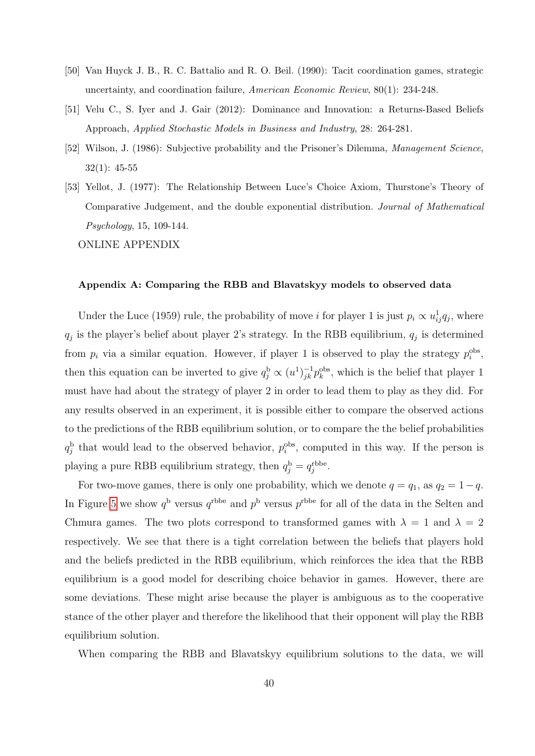- [50] Van Huyck J. B., R. C. Battalio and R. O. Beil. (1990): Tacit coordination games, strategic uncertainty, and coordination failure, American Economic Review, 80(1): 234-248.
- [51] Velu C., S. Iyer and J. Gair (2012): Dominance and Innovation: a Returns-Based Beliefs Approach, Applied Stochastic Models in Business and Industry, 28: 264-281.
- [52] Wilson, J. (1986): Subjective probability and the Prisoner's Dilemma, Management Science.  $32(1): 45-55$
- [53] Yellot, J. (1977): The Relationship Between Luce's Choice Axiom, Thurstone's Theory of Comparative Judgement, and the double exponential distribution. Journal of Mathematical Psychology, 15, 109-144.

ONLINE APPENDIX

#### <span id="page-40-0"></span>Appendix A: Comparing the RBB and Blavatskyy models to observed data

Under the Luce (1959) rule, the probability of move *i* for player 1 is just  $p_i \propto u_{ij}^1 q_j$ , where  $q_j$  is the player's belief about player 2's strategy. In the RBB equilibrium,  $q_j$  is determined from  $p_i$  via a similar equation. However, if player 1 is observed to play the strategy  $p_i^{\text{obs}}$ , then this equation can be inverted to give  $q_j^b \propto (u^1)^{-1}_{jk} p_k^{obs}$ , which is the belief that player 1 must have had about the strategy of player 2 in order to lead them to play as they did. For any results observed in an experiment, it is possible either to compare the observed actions to the predictions of the RBB equilibrium solution, or to compare the the belief probabilities  $q_j^b$  that would lead to the observed behavior,  $p_i^{obs}$ , computed in this way. If the person is playing a pure RBB equilibrium strategy, then  $q_j^{\rm b} = q_j^{\rm rbbe}$ .

For two-move games, there is only one probability, which we denote  $q = q_1$ , as  $q_2 = 1 - q$ . In Figure [5](#page-41-1) we show  $q^{\rm b}$  versus  $q^{\rm rbbe}$  and  $p^{\rm b}$  versus  $p^{\rm rbbe}$  for all of the data in the Selten and Chmura games. The two plots correspond to transformed games with  $\lambda = 1$  and  $\lambda = 2$ respectively. We see that there is a tight correlation between the beliefs that players hold and the beliefs predicted in the RBB equilibrium, which reinforces the idea that the RBB equilibrium is a good model for describing choice behavior in games. However, there are some deviations. These might arise because the player is ambiguous as to the cooperative stance of the other player and therefore the likelihood that their opponent will play the RBB equilibrium solution.

When comparing the RBB and Blavatskyy equilibrium solutions to the data, we will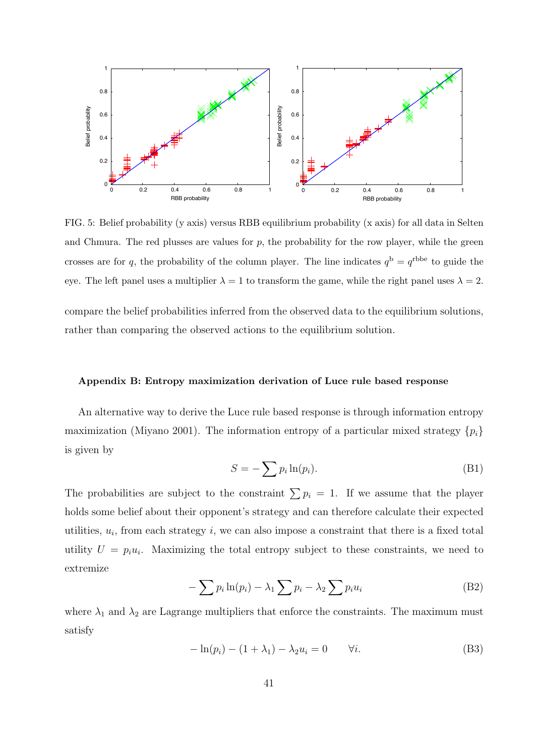

<span id="page-41-1"></span>FIG. 5: Belief probability (y axis) versus RBB equilibrium probability (x axis) for all data in Selten and Chmura. The red plusses are values for  $p$ , the probability for the row player, while the green crosses are for q, the probability of the column player. The line indicates  $q^{\rm b} = q^{\rm rbbe}$  to guide the eye. The left panel uses a multiplier  $\lambda = 1$  to transform the game, while the right panel uses  $\lambda = 2$ .

compare the belief probabilities inferred from the observed data to the equilibrium solutions, rather than comparing the observed actions to the equilibrium solution.

#### <span id="page-41-0"></span>Appendix B: Entropy maximization derivation of Luce rule based response

An alternative way to derive the Luce rule based response is through information entropy maximization (Miyano 2001). The information entropy of a particular mixed strategy  $\{p_i\}$ is given by

$$
S = -\sum p_i \ln(p_i). \tag{B1}
$$

The probabilities are subject to the constraint  $\sum p_i = 1$ . If we assume that the player holds some belief about their opponent's strategy and can therefore calculate their expected utilities,  $u_i$ , from each strategy  $i$ , we can also impose a constraint that there is a fixed total utility  $U = p_i u_i$ . Maximizing the total entropy subject to these constraints, we need to extremize

$$
-\sum p_i \ln(p_i) - \lambda_1 \sum p_i - \lambda_2 \sum p_i u_i \tag{B2}
$$

where  $\lambda_1$  and  $\lambda_2$  are Lagrange multipliers that enforce the constraints. The maximum must satisfy

$$
-\ln(p_i) - (1 + \lambda_1) - \lambda_2 u_i = 0 \qquad \forall i.
$$
 (B3)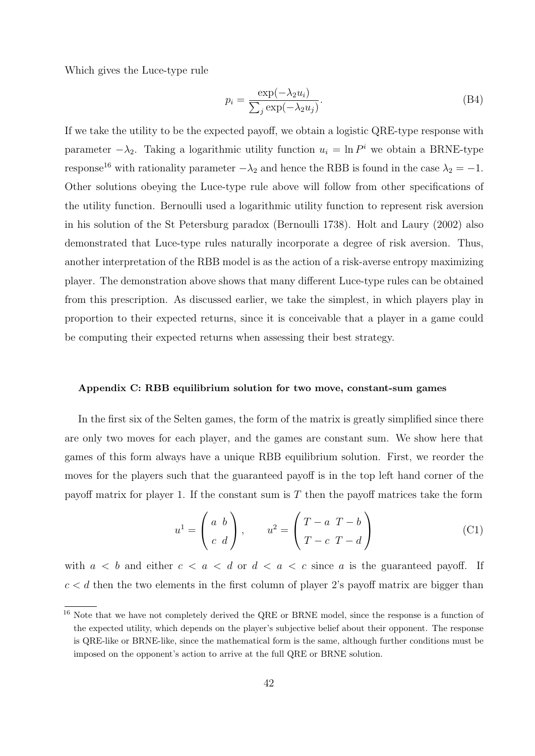Which gives the Luce-type rule

$$
p_i = \frac{\exp(-\lambda_2 u_i)}{\sum_j \exp(-\lambda_2 u_j)}.
$$
\n(B4)

If we take the utility to be the expected payoff, we obtain a logistic QRE-type response with parameter  $-\lambda_2$ . Taking a logarithmic utility function  $u_i = \ln P^i$  we obtain a BRNE-type response<sup>16</sup> with rationality parameter  $-\lambda_2$  and hence the RBB is found in the case  $\lambda_2 = -1$ . Other solutions obeying the Luce-type rule above will follow from other specifications of the utility function. Bernoulli used a logarithmic utility function to represent risk aversion in his solution of the St Petersburg paradox (Bernoulli 1738). Holt and Laury (2002) also demonstrated that Luce-type rules naturally incorporate a degree of risk aversion. Thus, another interpretation of the RBB model is as the action of a risk-averse entropy maximizing player. The demonstration above shows that many different Luce-type rules can be obtained from this prescription. As discussed earlier, we take the simplest, in which players play in proportion to their expected returns, since it is conceivable that a player in a game could be computing their expected returns when assessing their best strategy.

#### <span id="page-42-0"></span>Appendix C: RBB equilibrium solution for two move, constant-sum games

In the first six of the Selten games, the form of the matrix is greatly simplified since there are only two moves for each player, and the games are constant sum. We show here that games of this form always have a unique RBB equilibrium solution. First, we reorder the moves for the players such that the guaranteed payoff is in the top left hand corner of the payoff matrix for player 1. If the constant sum is  $T$  then the payoff matrices take the form

$$
u^{1} = \begin{pmatrix} a & b \\ c & d \end{pmatrix}, \qquad u^{2} = \begin{pmatrix} T - a & T - b \\ T - c & T - d \end{pmatrix}
$$
 (C1)

with  $a < b$  and either  $c < a < d$  or  $d < a < c$  since a is the guaranteed payoff. If  $c < d$  then the two elements in the first column of player 2's payoff matrix are bigger than

<sup>16</sup> Note that we have not completely derived the QRE or BRNE model, since the response is a function of the expected utility, which depends on the player's subjective belief about their opponent. The response is QRE-like or BRNE-like, since the mathematical form is the same, although further conditions must be imposed on the opponent's action to arrive at the full QRE or BRNE solution.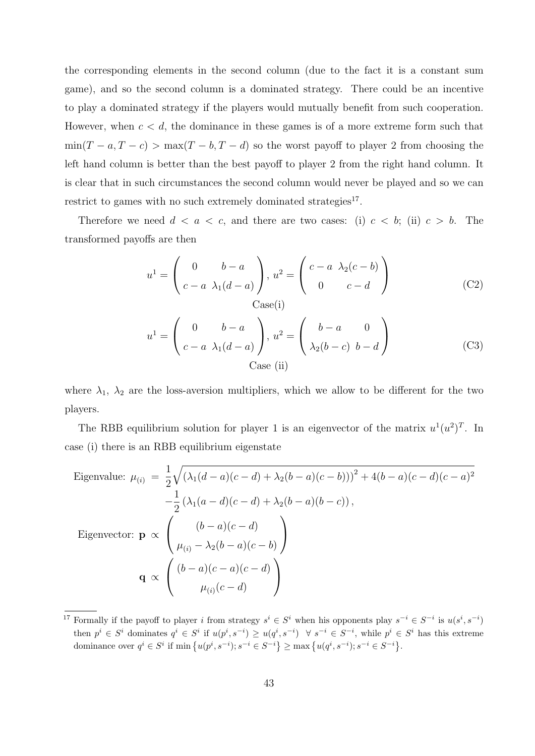the corresponding elements in the second column (due to the fact it is a constant sum game), and so the second column is a dominated strategy. There could be an incentive to play a dominated strategy if the players would mutually benefit from such cooperation. However, when  $c < d$ , the dominance in these games is of a more extreme form such that  $min(T - a, T - c) > max(T - b, T - d)$  so the worst payoff to player 2 from choosing the left hand column is better than the best payoff to player 2 from the right hand column. It is clear that in such circumstances the second column would never be played and so we can restrict to games with no such extremely dominated strategies<sup>17</sup>.

Therefore we need  $d < a < c$ , and there are two cases: (i)  $c < b$ ; (ii)  $c > b$ . The transformed payoffs are then

$$
u^{1} = \begin{pmatrix} 0 & b-a \\ c-a & \lambda_{1}(d-a) \end{pmatrix}, u^{2} = \begin{pmatrix} c-a & \lambda_{2}(c-b) \\ 0 & c-d \end{pmatrix}
$$
 (C2)  
Case(i)

$$
u^{1} = \begin{pmatrix} 0 & b-a \\ c-a & \lambda_{1}(d-a) \end{pmatrix}, u^{2} = \begin{pmatrix} b-a & 0 \\ \lambda_{2}(b-c) & b-d \end{pmatrix}
$$
 (C3)  
Case (ii)

where  $\lambda_1$ ,  $\lambda_2$  are the loss-aversion multipliers, which we allow to be different for the two players.

The RBB equilibrium solution for player 1 is an eigenvector of the matrix  $u^1(u^2)^T$ . In case (i) there is an RBB equilibrium eigenstate

Eigenvalue: 
$$
\mu_{(i)} = \frac{1}{2} \sqrt{(\lambda_1(d-a)(c-d) + \lambda_2(b-a)(c-b)))^2 + 4(b-a)(c-d)(c-a)^2}
$$

$$
-\frac{1}{2} (\lambda_1(a-d)(c-d) + \lambda_2(b-a)(b-c)),
$$
  
Eigenvector: 
$$
\mathbf{p} \propto \begin{pmatrix} (b-a)(c-d) \\ \mu_{(i)} - \lambda_2(b-a)(c-b) \end{pmatrix}
$$

$$
\mathbf{q} \propto \begin{pmatrix} (b-a)(c-a)(c-d) \\ \mu_{(i)}(c-d) \end{pmatrix}
$$

<sup>&</sup>lt;sup>17</sup> Formally if the payoff to player i from strategy  $s^i \in S^i$  when his opponents play  $s^{-i} \in S^{-i}$  is  $u(s^i, s^{-i})$ then  $p^i \in S^i$  dominates  $q^i \in S^i$  if  $u(p^i, s^{-i}) \geq u(q^i, s^{-i}) \quad \forall s^{-i} \in S^{-i}$ , while  $p^i \in S^i$  has this extreme dominance over  $q^i \in S^i$  if  $\min \{ u(p^i, s^{-i})$ ;  $s^{-i} \in S^{-i} \} \ge \max \{ u(q^i, s^{-i})$ ;  $s^{-i} \in S^{-i} \}$ .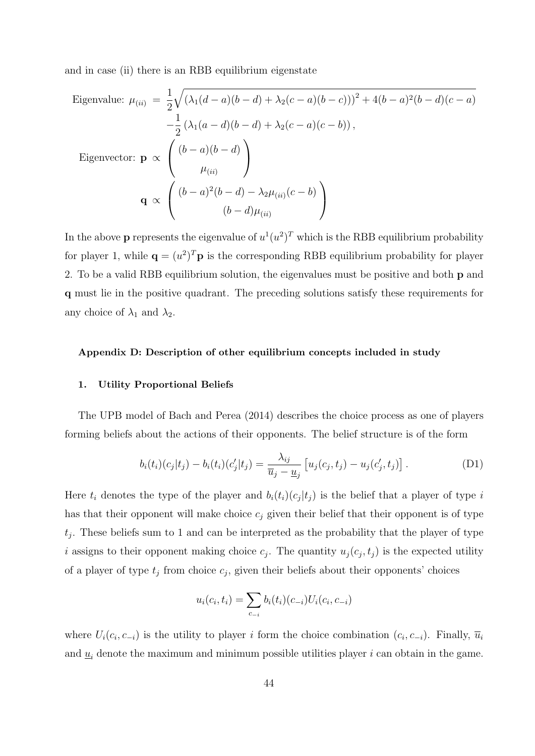and in case (ii) there is an RBB equilibrium eigenstate

Eigenvalue: 
$$
\mu_{(ii)} = \frac{1}{2} \sqrt{(\lambda_1(d-a)(b-d) + \lambda_2(c-a)(b-c)))^2 + 4(b-a)^2(b-d)(c-a)}
$$

$$
-\frac{1}{2} (\lambda_1(a-d)(b-d) + \lambda_2(c-a)(c-b)),
$$
  
Eigenvector: 
$$
\mathbf{p} \propto \begin{pmatrix} (b-a)(b-d) \\ \mu_{(ii)} \end{pmatrix}
$$

$$
\mathbf{q} \propto \begin{pmatrix} (b-a)^2(b-d) - \lambda_2 \mu_{(ii)}(c-b) \\ (b-d)\mu_{(ii)} \end{pmatrix}
$$

In the above **p** represents the eigenvalue of  $u^1(u^2)^T$  which is the RBB equilibrium probability for player 1, while  $\mathbf{q} = (u^2)^T \mathbf{p}$  is the corresponding RBB equilibrium probability for player 2. To be a valid RBB equilibrium solution, the eigenvalues must be positive and both p and q must lie in the positive quadrant. The preceding solutions satisfy these requirements for any choice of  $\lambda_1$  and  $\lambda_2$ .

#### Appendix D: Description of other equilibrium concepts included in study

#### <span id="page-44-0"></span>1. Utility Proportional Beliefs

The UPB model of Bach and Perea (2014) describes the choice process as one of players forming beliefs about the actions of their opponents. The belief structure is of the form

<span id="page-44-1"></span>
$$
b_i(t_i)(c_j|t_j) - b_i(t_i)(c'_j|t_j) = \frac{\lambda_{ij}}{\overline{u}_j - \underline{u}_j} \left[ u_j(c_j, t_j) - u_j(c'_j, t_j) \right].
$$
 (D1)

Here  $t_i$  denotes the type of the player and  $b_i(t_i)(c_j|t_j)$  is the belief that a player of type i has that their opponent will make choice  $c_j$  given their belief that their opponent is of type  $t_j$ . These beliefs sum to 1 and can be interpreted as the probability that the player of type i assigns to their opponent making choice  $c_j$ . The quantity  $u_j(c_j, t_j)$  is the expected utility of a player of type  $t_j$  from choice  $c_j$ , given their beliefs about their opponents' choices

$$
u_i(c_i, t_i) = \sum_{c_{-i}} b_i(t_i)(c_{-i})U_i(c_i, c_{-i})
$$

where  $U_i(c_i, c_{-i})$  is the utility to player i form the choice combination  $(c_i, c_{-i})$ . Finally,  $\overline{u}_i$ and  $\underline{u}_i$  denote the maximum and minimum possible utilities player i can obtain in the game.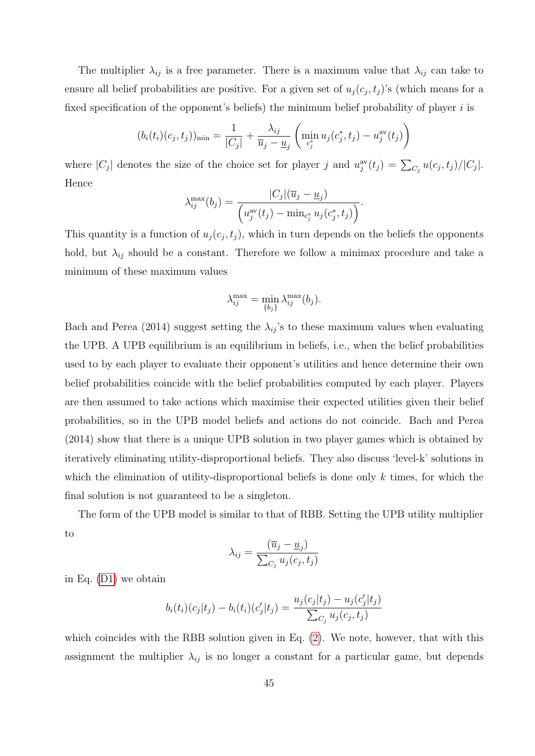The multiplier  $\lambda_{ij}$  is a free parameter. There is a maximum value that  $\lambda_{ij}$  can take to ensure all belief probabilities are positive. For a given set of  $u_j(c_j, t_j)$ 's (which means for a fixed specification of the opponent's beliefs) the minimum belief probability of player  $i$  is

$$
(b_i(t_i)(c_j, t_j))_{\min} = \frac{1}{|C_j|} + \frac{\lambda_{ij}}{\overline{u}_j - \underline{u}_j} \left( \min_{c_j^*} u_j(c_j^*, t_j) - u_j^{\text{av}}(t_j) \right)
$$

where  $|C_j|$  denotes the size of the choice set for player j and  $u_j^{\text{av}}(t_j) = \sum_{C_j} u(c_j, t_j)/|C_j|$ . Hence

$$
\lambda_{ij}^{\max}(b_j) = \frac{|C_j|(\overline{u}_j - \underline{u}_j)}{\left(u_j^{\text{av}}(t_j) - \min_{c_j^*} u_j(c_j^*, t_j)\right)}.
$$

This quantity is a function of  $u_j(c_j, t_j)$ , which in turn depends on the beliefs the opponents hold, but  $\lambda_{ij}$  should be a constant. Therefore we follow a minimax procedure and take a minimum of these maximum values

$$
\lambda_{ij}^{\max} = \min_{\{b_j\}} \lambda_{ij}^{\max}(b_j).
$$

Bach and Perea (2014) suggest setting the  $\lambda_{ij}$ 's to these maximum values when evaluating the UPB. A UPB equilibrium is an equilibrium in beliefs, i.e., when the belief probabilities used to by each player to evaluate their opponent's utilities and hence determine their own belief probabilities coincide with the belief probabilities computed by each player. Players are then assumed to take actions which maximise their expected utilities given their belief probabilities, so in the UPB model beliefs and actions do not coincide. Bach and Perea (2014) show that there is a unique UPB solution in two player games which is obtained by iteratively eliminating utility-disproportional beliefs. They also discuss 'level-k' solutions in which the elimination of utility-disproportional beliefs is done only  $k$  times, for which the final solution is not guaranteed to be a singleton.

The form of the UPB model is similar to that of RBB. Setting the UPB utility multiplier to

$$
\lambda_{ij} = \frac{(\overline{u}_j - \underline{u}_j)}{\sum_{C_j} u_j(c_j, t_j)}
$$

in Eq. [\(D1\)](#page-44-1) we obtain

$$
b_i(t_i)(c_j|t_j) - b_i(t_i)(c'_j|t_j) = \frac{u_j(c_j|t_j) - u_j(c'_j|t_j)}{\sum_{C_j} u_j(c_j, t_j)}
$$

which coincides with the RBB solution given in Eq.  $(2)$ . We note, however, that with this assignment the multiplier  $\lambda_{ij}$  is no longer a constant for a particular game, but depends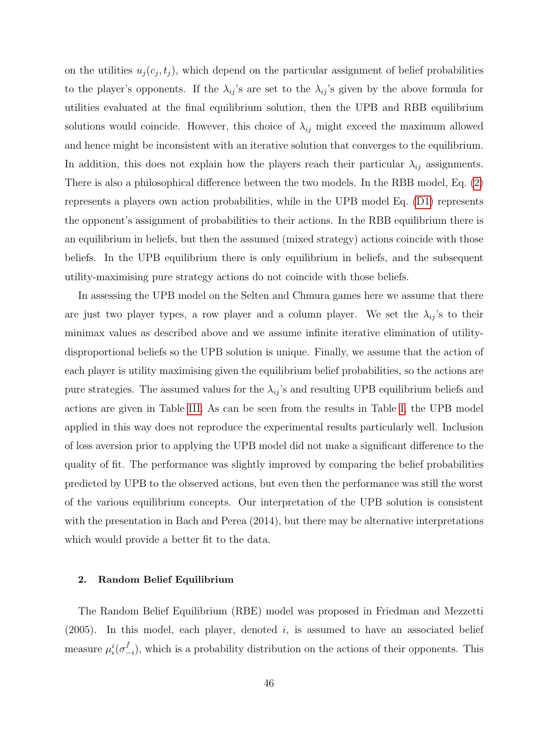on the utilities  $u_j(c_j, t_j)$ , which depend on the particular assignment of belief probabilities to the player's opponents. If the  $\lambda_{ij}$ 's are set to the  $\lambda_{ij}$ 's given by the above formula for utilities evaluated at the final equilibrium solution, then the UPB and RBB equilibrium solutions would coincide. However, this choice of  $\lambda_{ij}$  might exceed the maximum allowed and hence might be inconsistent with an iterative solution that converges to the equilibrium. In addition, this does not explain how the players reach their particular  $\lambda_{ij}$  assignments. There is also a philosophical difference between the two models. In the RBB model, Eq. [\(2\)](#page-12-0) represents a players own action probabilities, while in the UPB model Eq. [\(D1\)](#page-44-1) represents the opponent's assignment of probabilities to their actions. In the RBB equilibrium there is an equilibrium in beliefs, but then the assumed (mixed strategy) actions coincide with those beliefs. In the UPB equilibrium there is only equilibrium in beliefs, and the subsequent utility-maximising pure strategy actions do not coincide with those beliefs.

In assessing the UPB model on the Selten and Chmura games here we assume that there are just two player types, a row player and a column player. We set the  $\lambda_{ij}$ 's to their minimax values as described above and we assume infinite iterative elimination of utilitydisproportional beliefs so the UPB solution is unique. Finally, we assume that the action of each player is utility maximising given the equilibrium belief probabilities, so the actions are pure strategies. The assumed values for the  $\lambda_{ij}$ 's and resulting UPB equilibrium beliefs and actions are given in Table [III.](#page-47-0) As can be seen from the results in Table [I,](#page-29-0) the UPB model applied in this way does not reproduce the experimental results particularly well. Inclusion of loss aversion prior to applying the UPB model did not make a significant difference to the quality of fit. The performance was slightly improved by comparing the belief probabilities predicted by UPB to the observed actions, but even then the performance was still the worst of the various equilibrium concepts. Our interpretation of the UPB solution is consistent with the presentation in Bach and Perea (2014), but there may be alternative interpretations which would provide a better fit to the data.

#### <span id="page-46-0"></span>2. Random Belief Equilibrium

The Random Belief Equilibrium (RBE) model was proposed in Friedman and Mezzetti  $(2005)$ . In this model, each player, denoted i, is assumed to have an associated belief measure  $\mu_{\epsilon}^{i}(\sigma_{-}^{f}% \sigma_{+}^{j})$  $\binom{J}{i-i}$ , which is a probability distribution on the actions of their opponents. This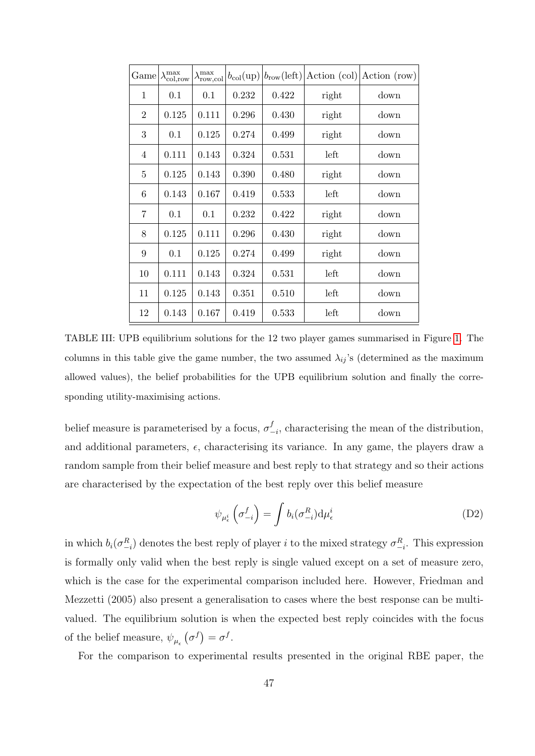| Game           | $\lambda_{\rm col, row}^{\rm max}$ | $\lambda_{\rm row,col}^{\rm max}$ | $b_{\rm col}$ (up) | $b_{\text{row}}(\text{left})$ | Action (col) | Action (row) |
|----------------|------------------------------------|-----------------------------------|--------------------|-------------------------------|--------------|--------------|
| 1              | 0.1                                | 0.1                               | 0.232              | 0.422                         | right        | down         |
| $\overline{2}$ | 0.125                              | 0.111                             | 0.296              | 0.430                         | right        | down         |
| 3              | 0.1                                | 0.125                             | 0.274              | 0.499                         | right        | down         |
| 4              | 0.111                              | 0.143                             | 0.324              | 0.531                         | left         | down         |
| 5              | 0.125                              | 0.143                             | 0.390              | 0.480                         | right        | down         |
| 6              | 0.143                              | 0.167                             | 0.419              | 0.533                         | left         | down         |
| 7              | 0.1                                | 0.1                               | 0.232              | 0.422                         | right        | down         |
| 8              | 0.125                              | 0.111                             | 0.296              | 0.430                         | right        | down         |
| 9              | 0.1                                | 0.125                             | 0.274              | 0.499                         | right        | down         |
| 10             | 0.111                              | 0.143                             | 0.324              | 0.531                         | left         | down         |
| 11             | 0.125                              | 0.143                             | 0.351              | 0.510                         | left         | down         |
| 12             | 0.143                              | 0.167                             | 0.419              | 0.533                         | left         | down         |

<span id="page-47-0"></span>TABLE III: UPB equilibrium solutions for the 12 two player games summarised in Figure [1.](#page-24-0) The columns in this table give the game number, the two assumed  $\lambda_{ij}$ 's (determined as the maximum allowed values), the belief probabilities for the UPB equilibrium solution and finally the corresponding utility-maximising actions.

belief measure is parameterised by a focus,  $\sigma_-^f$  $\frac{f}{-i}$ , characterising the mean of the distribution, and additional parameters,  $\epsilon$ , characterising its variance. In any game, the players draw a random sample from their belief measure and best reply to that strategy and so their actions are characterised by the expectation of the best reply over this belief measure

<span id="page-47-1"></span>
$$
\psi_{\mu_{\epsilon}^{i}}\left(\sigma_{-i}^{f}\right) = \int b_{i}(\sigma_{-i}^{R}) d\mu_{\epsilon}^{i}
$$
\n(D2)

in which  $b_i(\sigma_{-i}^R)$  denotes the best reply of player i to the mixed strategy  $\sigma_{-i}^R$ . This expression is formally only valid when the best reply is single valued except on a set of measure zero, which is the case for the experimental comparison included here. However, Friedman and Mezzetti (2005) also present a generalisation to cases where the best response can be multivalued. The equilibrium solution is when the expected best reply coincides with the focus of the belief measure,  $\psi_{\mu_{\epsilon}}(\sigma^f) = \sigma^f$ .

For the comparison to experimental results presented in the original RBE paper, the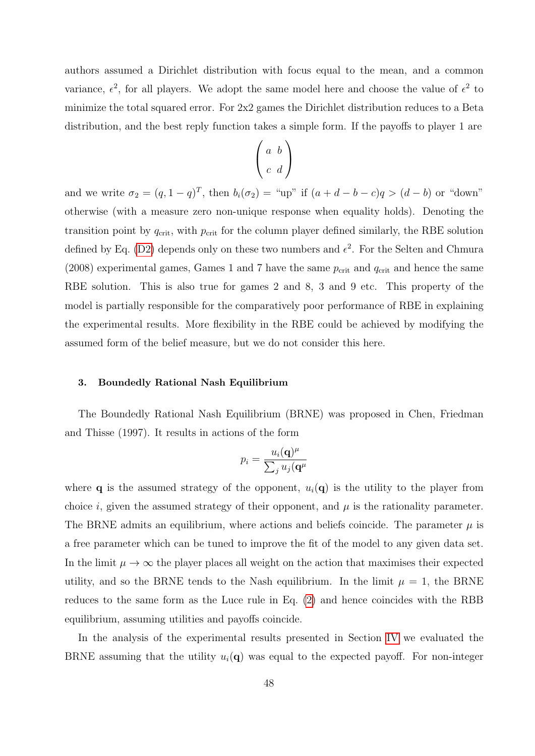authors assumed a Dirichlet distribution with focus equal to the mean, and a common variance,  $\epsilon^2$ , for all players. We adopt the same model here and choose the value of  $\epsilon^2$  to minimize the total squared error. For 2x2 games the Dirichlet distribution reduces to a Beta distribution, and the best reply function takes a simple form. If the payoffs to player 1 are

$$
\left(\begin{array}{cc}a&b\\c&d\end{array}\right)
$$

and we write  $\sigma_2 = (q, 1-q)^T$ , then  $b_i(\sigma_2) = \text{``up''}$  if  $(a+d-b-c)q > (d-b)$  or "down" otherwise (with a measure zero non-unique response when equality holds). Denoting the transition point by  $q_{\text{crit}}$ , with  $p_{\text{crit}}$  for the column player defined similarly, the RBE solution defined by Eq. [\(D2\)](#page-47-1) depends only on these two numbers and  $\epsilon^2$ . For the Selten and Chmura (2008) experimental games, Games 1 and 7 have the same  $p_{\text{crit}}$  and  $q_{\text{crit}}$  and hence the same RBE solution. This is also true for games 2 and 8, 3 and 9 etc. This property of the model is partially responsible for the comparatively poor performance of RBE in explaining the experimental results. More flexibility in the RBE could be achieved by modifying the assumed form of the belief measure, but we do not consider this here.

#### <span id="page-48-0"></span>3. Boundedly Rational Nash Equilibrium

The Boundedly Rational Nash Equilibrium (BRNE) was proposed in Chen, Friedman and Thisse (1997). It results in actions of the form

$$
p_i = \frac{u_i(\mathbf{q})^{\mu}}{\sum_j u_j(\mathbf{q}^{\mu})}
$$

where **q** is the assumed strategy of the opponent,  $u_i(\mathbf{q})$  is the utility to the player from choice i, given the assumed strategy of their opponent, and  $\mu$  is the rationality parameter. The BRNE admits an equilibrium, where actions and beliefs coincide. The parameter  $\mu$  is a free parameter which can be tuned to improve the fit of the model to any given data set. In the limit  $\mu \to \infty$  the player places all weight on the action that maximises their expected utility, and so the BRNE tends to the Nash equilibrium. In the limit  $\mu = 1$ , the BRNE reduces to the same form as the Luce rule in Eq. [\(2\)](#page-12-0) and hence coincides with the RBB equilibrium, assuming utilities and payoffs coincide.

In the analysis of the experimental results presented in Section [IV](#page-22-0) we evaluated the BRNE assuming that the utility  $u_i(\mathbf{q})$  was equal to the expected payoff. For non-integer